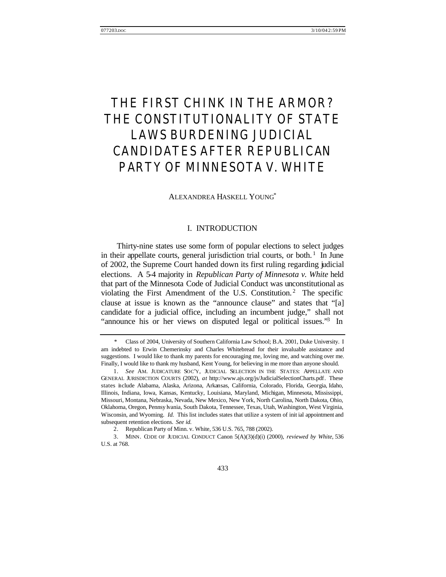# THE FIRST CHINK IN THE ARMOR? THE CONSTITUTIONALITY OF STATE LAWS BURDENING JUDICIAL CANDIDATES AFTER *REPUBLICAN PARTY OF MINNESOTA V. WHITE*

#### ALEXANDREA HASKELL YOUNG\*

# I. INTRODUCTION

Thirty-nine states use some form of popular elections to select judges in their appellate courts, general jurisdiction trial courts, or both. $<sup>1</sup>$  In June</sup> of 2002, the Supreme Court handed down its first ruling regarding judicial elections. A 5-4 majority in *Republican Party of Minnesota v. White* held that part of the Minnesota Code of Judicial Conduct was unconstitutional as violating the First Amendment of the U.S. Constitution.<sup>2</sup> The specific clause at issue is known as the "announce clause" and states that "[a] candidate for a judicial office, including an incumbent judge," shall not "announce his or her views on disputed legal or political issues."<sup>3</sup> In

 <sup>\*</sup> Class of 2004, University of Southern California Law School; B.A. 2001, Duke University. I am indebted to Erwin Chemerinsky and Charles Whitebread for their invaluable assistance and suggestions. I would like to thank my parents for encouraging me, loving me, and watching over me. Finally, I would like to thank my husband, Kent Young, for believing in me more than anyone should.

<sup>1.</sup> *See* AM. JUDICATURE SOC'Y, JUDICIAL SELECTION IN THE STATES: APPELLATE AND GENERAL JURISDICTION COURTS (2002), *at* http://www.ajs.org/js/JudicialSelectionCharts.pdf. These states include Alabama, Alaska, Arizona, Arkansas, California, Colorado, Florida, Georgia, Idaho, Illinois, Indiana, Iowa, Kansas, Kentucky, Louisiana, Maryland, Michigan, Minnesota, Mississippi, Missouri, Montana, Nebraska, Nevada, New Mexico, New York, North Carolina, North Dakota, Ohio, Oklahoma, Oregon, Pennsy lvania, South Dakota, Tennessee, Texas, Utah, Washington, West Virginia, Wisconsin, and Wyoming. *Id.* This list includes states that utilize a system of init ial appointment and subsequent retention elections. *See id.*

<sup>2.</sup> Republican Party of Minn. v. White, 536 U.S. 765, 788 (2002).

<sup>3.</sup> MINN. CODE OF JUDICIAL CONDUCT Canon 5(A)(3)(d)(i) (2000), *reviewed by White*, 536 U.S. at 768.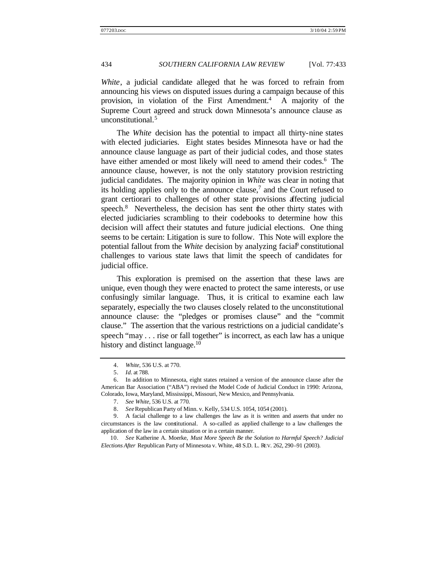*White*, a judicial candidate alleged that he was forced to refrain from announcing his views on disputed issues during a campaign because of this provision, in violation of the First Amendment.<sup>4</sup> A majority of the Supreme Court agreed and struck down Minnesota's announce clause as unconstitutional.<sup>5</sup>

The *White* decision has the potential to impact all thirty-nine states with elected judiciaries. Eight states besides Minnesota have or had the announce clause language as part of their judicial codes, and those states have either amended or most likely will need to amend their codes.<sup>6</sup> The announce clause, however, is not the only statutory provision restricting judicial candidates. The majority opinion in *White* was clear in noting that its holding applies only to the announce clause,<sup>7</sup> and the Court refused to grant certiorari to challenges of other state provisions affecting judicial speech.<sup>8</sup> Nevertheless, the decision has sent the other thirty states with elected judiciaries scrambling to their codebooks to determine how this decision will affect their statutes and future judicial elections. One thing seems to be certain: Litigation is sure to follow. This Note will explore the potential fallout from the *White* decision by analyzing facial<sup>p</sup> constitutional challenges to various state laws that limit the speech of candidates for judicial office.

This exploration is premised on the assertion that these laws are unique, even though they were enacted to protect the same interests, or use confusingly similar language. Thus, it is critical to examine each law separately, especially the two clauses closely related to the unconstitutional announce clause: the "pledges or promises clause" and the "commit clause." The assertion that the various restrictions on a judicial candidate's speech "may . . . rise or fall together" is incorrect, as each law has a unique history and distinct language.<sup>10</sup>

<sup>4.</sup> *White*, 536 U.S. at 770.

<sup>5.</sup> *Id.* at 788.

<sup>6.</sup> In addition to Minnesota, eight states retained a version of the announce clause after the American Bar Association ("ABA") revised the Model Code of Judicial Conduct in 1990: Arizona, Colorado, Iowa, Maryland, Mississippi, Missouri, New Mexico, and Pennsylvania.

<sup>7.</sup> *See White*, 536 U.S. at 770.

<sup>8.</sup> *See* Republican Party of Minn. v. Kelly, 534 U.S. 1054, 1054 (2001).

<sup>9.</sup> A facial challenge to a law challenges the law as it is written and asserts that under no circumstances is the law constitutional. A so-called as applied challenge to a law challenges the application of the law in a certain situation or in a certain manner.

<sup>10.</sup> *See* Katherine A. Moerke, *Must More Speech Be the Solution to Harmful Speech? Judicial Elections After* Republican Party of Minnesota v. White, 48 S.D. L. REV. 262, 290–91 (2003).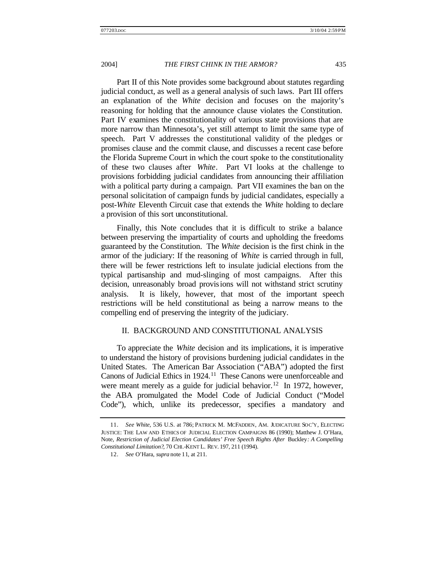Part II of this Note provides some background about statutes regarding judicial conduct, as well as a general analysis of such laws. Part III offers an explanation of the *White* decision and focuses on the majority's reasoning for holding that the announce clause violates the Constitution. Part IV examines the constitutionality of various state provisions that are more narrow than Minnesota's, yet still attempt to limit the same type of speech. Part V addresses the constitutional validity of the pledges or promises clause and the commit clause, and discusses a recent case before the Florida Supreme Court in which the court spoke to the constitutionality of these two clauses after *White*. Part VI looks at the challenge to provisions forbidding judicial candidates from announcing their affiliation with a political party during a campaign. Part VII examines the ban on the personal solicitation of campaign funds by judicial candidates, especially a post-*White* Eleventh Circuit case that extends the *White* holding to declare a provision of this sort unconstitutional.

Finally, this Note concludes that it is difficult to strike a balance between preserving the impartiality of courts and upholding the freedoms guaranteed by the Constitution. The *White* decision is the first chink in the armor of the judiciary: If the reasoning of *White* is carried through in full, there will be fewer restrictions left to insulate judicial elections from the typical partisanship and mud-slinging of most campaigns. After this decision, unreasonably broad provisions will not withstand strict scrutiny analysis. It is likely, however, that most of the important speech restrictions will be held constitutional as being a narrow means to the compelling end of preserving the integrity of the judiciary.

#### II. BACKGROUND AND CONSTITUTIONAL ANALYSIS

To appreciate the *White* decision and its implications, it is imperative to understand the history of provisions burdening judicial candidates in the United States. The American Bar Association ("ABA") adopted the first Canons of Judicial Ethics in 1924.<sup>11</sup> These Canons were unenforceable and were meant merely as a guide for judicial behavior.<sup>12</sup> In 1972, however, the ABA promulgated the Model Code of Judicial Conduct ("Model Code"), which, unlike its predecessor, specifies a mandatory and

<sup>11.</sup> *See White*, 536 U.S. at 786; PATRICK M. MCFADDEN, AM. JUDICATURE SOC'Y, ELECTING JUSTICE: THE LAW AND ETHICS OF JUDICIAL ELECTION CAMPAIGNS 86 (1990); Matthew J. O'Hara, Note, *Restriction of Judicial Election Candidates' Free Speech Rights After* Buckley*: A Compelling Constitutional Limitation?*, 70 CHI.-KENT L. REV. 197, 211 (1994).

<sup>12.</sup> *See* O'Hara, *supra* note 11, at 211.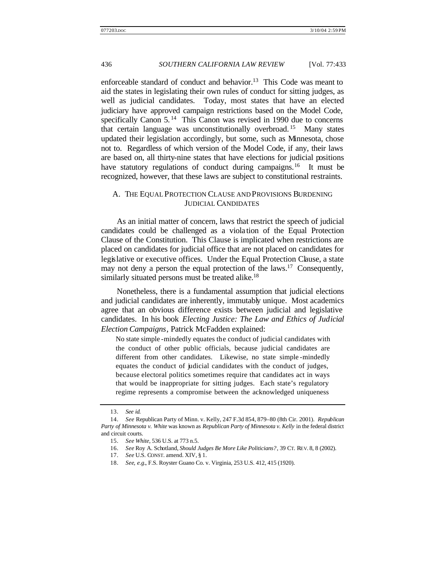enforceable standard of conduct and behavior.<sup>13</sup> This Code was meant to aid the states in legislating their own rules of conduct for sitting judges, as well as judicial candidates. Today, most states that have an elected judiciary have approved campaign restrictions based on the Model Code, specifically Canon 5.<sup>14</sup> This Canon was revised in 1990 due to concerns that certain language was unconstitutionally overbroad. <sup>15</sup> Many states updated their legislation accordingly, but some, such as Minnesota, chose not to. Regardless of which version of the Model Code, if any, their laws are based on, all thirty-nine states that have elections for judicial positions have statutory regulations of conduct during campaigns.<sup>16</sup> It must be recognized, however, that these laws are subject to constitutional restraints.

### A. THE EQUAL PROTECTION CLAUSE AND PROVISIONS BURDENING JUDICIAL CANDIDATES

As an initial matter of concern, laws that restrict the speech of judicial candidates could be challenged as a viola tion of the Equal Protection Clause of the Constitution. This Clause is implicated when restrictions are placed on candidates for judicial office that are not placed on candidates for legislative or executive offices. Under the Equal Protection Clause, a state may not deny a person the equal protection of the laws.<sup>17</sup> Consequently, similarly situated persons must be treated alike.<sup>18</sup>

Nonetheless, there is a fundamental assumption that judicial elections and judicial candidates are inherently, immutably unique. Most academics agree that an obvious difference exists between judicial and legislative candidates. In his book *Electing Justice: The Law and Ethics of Judicial Election Campaigns*, Patrick McFadden explained:

No state simple -mindedly equates the conduct of judicial candidates with the conduct of other public officials, because judicial candidates are different from other candidates. Likewise, no state simple -mindedly equates the conduct of judicial candidates with the conduct of judges, because electoral politics sometimes require that candidates act in ways that would be inappropriate for sitting judges. Each state's regulatory regime represents a compromise between the acknowledged uniqueness

<sup>13.</sup> *See id.*

<sup>14.</sup> *See* Republican Party of Minn. v. Kelly, 247 F.3d 854, 879–80 (8th Cir. 2001). *Republican Party of Minnesota v. White* was known as *Republican Party of Minnesota v. Kelly* in the federal district and circuit courts.

<sup>15.</sup> *See White*, 536 U.S. at 773 n.5.

<sup>16.</sup> *See* Roy A. Schotland, *Should Judges Be More Like Politicians?*, 39 CT. REV. 8, 8 (2002).

<sup>17.</sup> *See* U.S. CONST. amend. XIV, § 1.

<sup>18.</sup> *See, e.g.*, F.S. Royster Guano Co. v. Virginia, 253 U.S. 412, 415 (1920).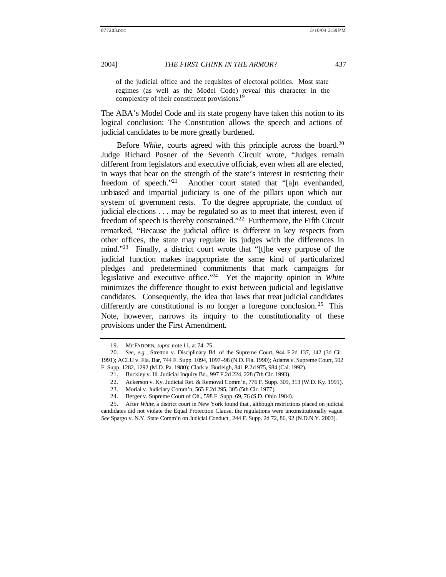of the judicial office and the requisites of electoral politics. Most state regimes (as well as the Model Code) reveal this character in the complexity of their constituent provisions.<sup>19</sup>

The ABA's Model Code and its state progeny have taken this notion to its logical conclusion: The Constitution allows the speech and actions of judicial candidates to be more greatly burdened.

Before *White*, courts agreed with this principle across the board.<sup>20</sup> Judge Richard Posner of the Seventh Circuit wrote, "Judges remain different from legislators and executive officials, even when all are elected, in ways that bear on the strength of the state's interest in restricting their freedom of speech."<sup>21</sup> Another court stated that "[a]n evenhanded, unbiased and impartial judiciary is one of the pillars upon which our system of government rests. To the degree appropriate, the conduct of judicial ele ctions . . . may be regulated so as to meet that interest, even if freedom of speech is thereby constrained."<sup>22</sup> Furthermore, the Fifth Circuit remarked, "Because the judicial office is different in key respects from other offices, the state may regulate its judges with the differences in mind."<sup>23</sup> Finally, a district court wrote that "[t]he very purpose of the judicial function makes inappropriate the same kind of particularized pledges and predetermined commitments that mark campaigns for legislative and executive office."<sup>24</sup> Yet the majority opinion in *White* minimizes the difference thought to exist between judicial and legislative candidates. Consequently, the idea that laws that treat judicial candidates differently are constitutional is no longer a foregone conclusion.<sup>25</sup> This Note, however, narrows its inquiry to the constitutionality of these provisions under the First Amendment.

<sup>19.</sup> MCFADDEN, *supra* note 11, at 74–75.

<sup>20.</sup> *See, e.g.*, Stretton v. Disciplinary Bd. of the Supreme Court, 944 F.2d 137, 142 (3d Cir. 1991); ACLU v. Fla. Bar, 744 F. Supp. 1094, 1097–98 (N.D. Fla. 1990); Adams v. Supreme Court, 502 F. Supp. 1282, 1292 (M.D. Pa. 1980); Clark v. Burleigh, 841 P.2d 975, 984 (Cal. 1992).

<sup>21.</sup> Buckley v. Ill. Judicial Inquiry Bd., 997 F.2d 224, 228 (7th Cir. 1993).

<sup>22.</sup> Ackerson v. Ky. Judicial Ret. & Removal Comm'n, 776 F. Supp. 309, 313 (W.D. Ky. 1991).

<sup>23.</sup> Morial v. Judiciary Comm'n, 565 F.2d 295, 305 (5th Cir. 1977).

<sup>24.</sup> Berger v. Supreme Court of Oh., 598 F. Supp. 69, 76 (S.D. Ohio 1984).

<sup>25.</sup> After *White*, a district court in New York found that , although restrictions placed on judicial candidates did not violate the Equal Protection Clause, the regulations were unconstitutionally vague. *See* Spargo v. N.Y. State Comm'n on Judicial Conduct , 244 F. Supp. 2d 72, 86, 92 (N.D.N.Y. 2003).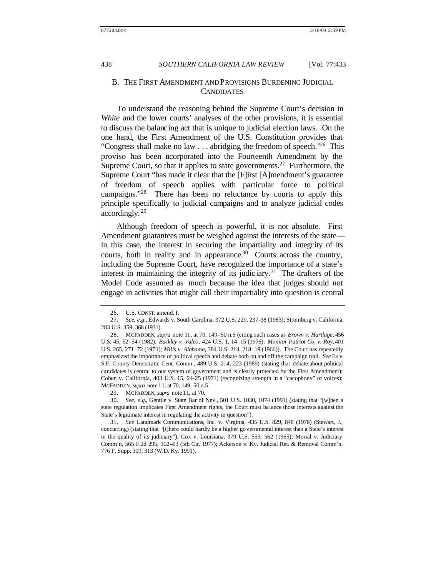### B. THE FIRST AMENDMENT AND PROVISIONS BURDENING JUDICIAL **CANDIDATES**

To understand the reasoning behind the Supreme Court's decision in *White* and the lower courts' analyses of the other provisions, it is essential to discuss the balancing act that is unique to judicial election laws. On the one hand, the First Amendment of the U.S. Constitution provides that "Congress shall make no law  $\ldots$  abridging the freedom of speech."<sup>26</sup> This proviso has been incorporated into the Fourteenth Amendment by the Supreme Court, so that it applies to state governments.<sup>27</sup> Furthermore, the Supreme Court "has made it clear that the [F]irst [A]mendment's guarantee of freedom of speech applies with particular force to political campaigns."<sup>28</sup> There has been no reluctance by courts to apply this principle specifically to judicial campaigns and to analyze judicial codes accordingly. <sup>29</sup>

Although freedom of speech is powerful, it is not absolute. First Amendment guarantees must be weighed against the interests of the state in this case, the interest in securing the impartiality and integrity of its courts, both in reality and in appearance.<sup>30</sup> Courts across the country, including the Supreme Court, have recognized the importance of a state's interest in maintaining the integrity of its judic  $iary$ <sup>31</sup>. The drafters of the Model Code assumed as much because the idea that judges should not engage in activities that might call their impartiality into question is central

29. MCFADDEN, *supra* note 11, at 70.

30. *See, e.g.*, Gentile v. State Bar of Nev., 501 U.S. 1030, 1074 (1991) (stating that "[w]hen a state regulation implicates First Amendment rights, the Court must balance those interests against the State's legitimate interest in regulating the activity in question").

31. *See* Landmark Communications, Inc. v. Virginia, 435 U.S. 829, 848 (1978) (Stewart, J., concurring) (stating that "[t]here could hardly be a higher governmental interest than a State's interest in the quality of its judiciary"); Cox v. Louisiana, 379 U.S. 559, 562 (1965); Morial v. Judiciary Comm'n, 565 F.2d 295, 302–03 (5th Cir. 1977); Ackerson v. Ky. Judicial Ret. & Removal Comm'n, 776 F. Supp. 309, 313 (W.D. Ky. 1991).

<sup>26.</sup> U.S. CONST. amend. I.

<sup>27.</sup> *See, e.g.*, Edwards v. South Carolina, 372 U.S. 229, 237–38 (1963); Stromberg v. California, 283 U.S. 359, 368 (1931).

<sup>28.</sup> MCFADDEN, *supra* note 11, at 70, 149–50 n.5 (citing such cases as *Brown v. Hartlage*, 456 U.S. 45, 52–54 (1982); *Buckley v. Valeo*, 424 U.S. 1, 14–15 (1976); *Monitor Patriot Co. v. Roy*, 401 U.S. 265, 271–72 (1971); *Mills v. Alabama*, 384 U.S. 214, 218–19 (1966)). The Court has repeatedly emphasized the importance of political speech and debate both on and off the campaign trail. *See* Eu v. S.F. County Democratic Cent. Comm., 489 U.S. 214, 223 (1989) (stating that debate about political candidates is central to our system of government and is clearly protected by the First Amendment); Cohen v. California, 403 U.S. 15, 24–25 (1971) (recognizing strength in a "cacophony" of voices); MCFADDEN, *supra* note 11, at 70, 149–50 n.5.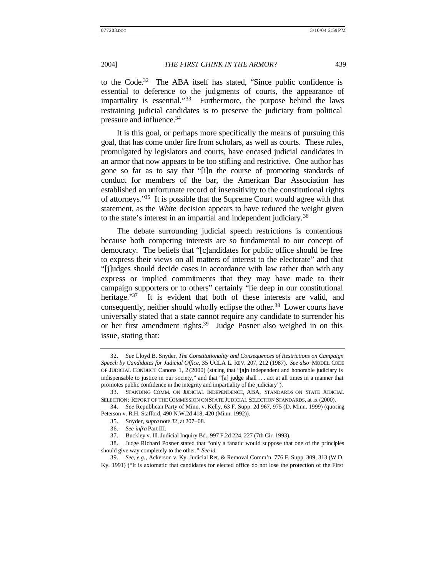to the Code.<sup>32</sup> The ABA itself has stated, "Since public confidence is essential to deference to the judgments of courts, the appearance of impartiality is essential."<sup>33</sup> Furthermore, the purpose behind the laws restraining judicial candidates is to preserve the judiciary from political pressure and influence.<sup>34</sup>

It is this goal, or perhaps more specifically the means of pursuing this goal, that has come under fire from scholars, as well as courts. These rules, promulgated by legislators and courts, have encased judicial candidates in an armor that now appears to be too stifling and restrictive. One author has gone so far as to say that "[i]n the course of promoting standards of conduct for members of the bar, the American Bar Association has established an unfortunate record of insensitivity to the constitutional rights of attorneys."<sup>35</sup> It is possible that the Supreme Court would agree with that statement, as the *White* decision appears to have reduced the weight given to the state's interest in an impartial and independent judiciary.<sup>36</sup>

The debate surrounding judicial speech restrictions is contentious because both competing interests are so fundamental to our concept of democracy. The beliefs that "[c]andidates for public office should be free to express their views on all matters of interest to the electorate" and that "[j]udges should decide cases in accordance with law rather than with any express or implied commitments that they may have made to their campaign supporters or to others" certainly "lie deep in our constitutional heritage."<sup>37</sup> It is evident that both of these interests are valid, and consequently, neither should wholly eclipse the other.<sup>38</sup> Lower courts have universally stated that a state cannot require any candidate to surrender his or her first amendment rights.<sup>39</sup> Judge Posner also weighed in on this issue, stating that:

<sup>32.</sup> *See* Lloyd B. Snyder, *The Constitutionality and Consequences of Restrictions on Campaign Speech by Candidates for Judicial Office*, 35 UCLA L. REV. 207, 212 (1987). *See also* MODEL CODE OF JUDICIAL CONDUCT Canons 1, 2 (2000) (stating that "[a]n independent and honorable judiciary is indispensable to justice in our society," and that "[a] judge shall . . . act at all times in a manner that promotes public confidence in the integrity and impartiality of the judiciary").

<sup>33.</sup> STANDING COMM. ON JUDICIAL INDEPENDENCE, ABA, STANDARDS ON STATE JUDICIAL SELECTION: REPORT OF THE COMMISSION ON STATE JUDICIAL SELECTION STANDARDS, at ix (2000).

<sup>34.</sup> *See* Republican Party of Minn. v. Kelly, 63 F. Supp. 2d 967, 975 (D. Minn. 1999) (quoting Peterson v. R.H. Stafford, 490 N.W.2d 418, 420 (Minn. 1992)).

<sup>35.</sup> Snyder, *supra* note 32, at 207–08.

<sup>36.</sup> *See infra* Part III.

<sup>37.</sup> Buckley v. Ill. Judicial Inquiry Bd., 997 F.2d 224, 227 (7th Cir. 1993).

<sup>38.</sup> Judge Richard Posner stated that "only a fanatic would suppose that one of the principles should give way completely to the other." *See id.*

<sup>39.</sup> *See, e.g.*, Ackerson v. Ky. Judicial Ret. & Removal Comm'n, 776 F. Supp. 309, 313 (W.D. Ky. 1991) ("It is axiomatic that candidates for elected office do not lose the protection of the First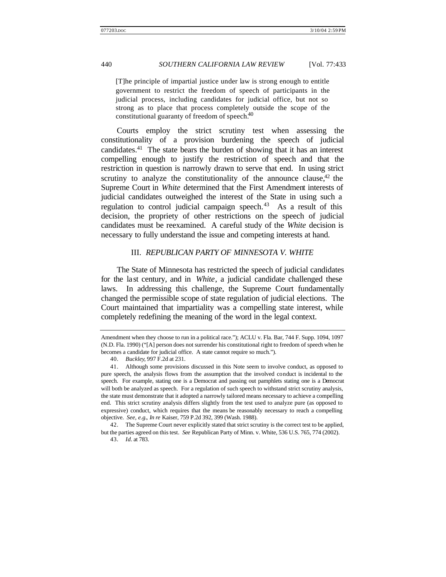[T]he principle of impartial justice under law is strong enough to entitle government to restrict the freedom of speech of participants in the judicial process, including candidates for judicial office, but not so strong as to place that process completely outside the scope of the constitutional guaranty of freedom of speech.<sup>40</sup>

Courts employ the strict scrutiny test when assessing the constitutionality of a provision burdening the speech of judicial candidates.<sup>41</sup> The state bears the burden of showing that it has an interest compelling enough to justify the restriction of speech and that the restriction in question is narrowly drawn to serve that end. In using strict scrutiny to analyze the constitutionality of the announce clause, $42$  the Supreme Court in *White* determined that the First Amendment interests of judicial candidates outweighed the interest of the State in using such a regulation to control judicial campaign speech.<sup>43</sup> As a result of this decision, the propriety of other restrictions on the speech of judicial candidates must be reexamined. A careful study of the *White* decision is necessary to fully understand the issue and competing interests at hand.

#### III. *REPUBLICAN PARTY OF MINNESOTA V. WHITE*

The State of Minnesota has restricted the speech of judicial candidates for the last century, and in *White*, a judicial candidate challenged these laws. In addressing this challenge, the Supreme Court fundamentally changed the permissible scope of state regulation of judicial elections. The Court maintained that impartiality was a compelling state interest, while completely redefining the meaning of the word in the legal context.

42. The Supreme Court never explicitly stated that strict scrutiny is the correct test to be applied, but the parties agreed on this test. *See* Republican Party of Minn. v. White, 536 U.S. 765, 774 (2002).

Amendment when they choose to run in a political race."); ACLU v. Fla. Bar, 744 F. Supp. 1094, 1097 (N.D. Fla. 1990) ("[A] person does not surrender his constitutional right to freedom of speech when he becomes a candidate for judicial office. A state cannot require so much.").

<sup>40.</sup> *Buckley*, 997 F.2d at 231.

<sup>41.</sup> Although some provisions discussed in this Note seem to involve conduct, as opposed to pure speech, the analysis flows from the assumption that the involved conduct is incidental to the speech. For example, stating one is a Democrat and passing out pamphlets stating one is a Democrat will both be analyzed as speech. For a regulation of such speech to withstand strict scrutiny analysis, the state must demonstrate that it adopted a narrowly tailored means necessary to achieve a compelling end. This strict scrutiny analysis differs slightly from the test used to analyze pure (as opposed to expressive) conduct, which requires that the means be reasonably necessary to reach a compelling objective. *See, e.g.*, *In re* Kaiser, 759 P.2d 392, 399 (Wash. 1988).

<sup>43.</sup> *Id.* at 783.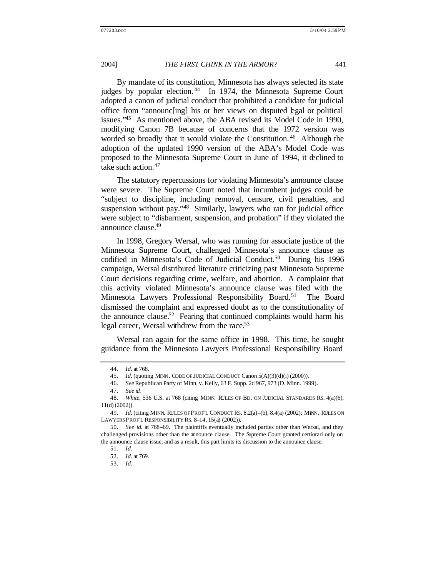By mandate of its constitution, Minnesota has always selected its state judges by popular election.<sup>44</sup> In 1974, the Minnesota Supreme Court adopted a canon of judicial conduct that prohibited a candidate for judicial office from "announc[ing] his or her views on disputed legal or political issues."<sup>45</sup> As mentioned above, the ABA revised its Model Code in 1990, modifying Canon 7B because of concerns that the 1972 version was worded so broadly that it would violate the Constitution.<sup>46</sup> Although the adoption of the updated 1990 version of the ABA's Model Code was proposed to the Minnesota Supreme Court in June of 1994, it declined to take such action.<sup>47</sup>

The statutory repercussions for violating Minnesota's announce clause were severe. The Supreme Court noted that incumbent judges could be "subject to discipline, including removal, censure, civil penalties, and suspension without pay."<sup>48</sup> Similarly, lawyers who ran for judicial office were subject to "disbarment, suspension, and probation" if they violated the announce clause.<sup>49</sup>

In 1998, Gregory Wersal, who was running for associate justice of the Minnesota Supreme Court, challenged Minnesota's announce clause as codified in Minnesota's Code of Judicial Conduct.<sup>50</sup> During his 1996 campaign, Wersal distributed literature criticizing past Minnesota Supreme Court decisions regarding crime, welfare, and abortion. A complaint that this activity violated Minnesota's announce clause was filed with the Minnesota Lawyers Professional Responsibility Board.<sup>51</sup> The Board dismissed the complaint and expressed doubt as to the constitutionality of the announce clause. $52$  Fearing that continued complaints would harm his legal career, Wersal withdrew from the race.<sup>53</sup>

Wersal ran again for the same office in 1998. This time, he sought guidance from the Minnesota Lawyers Professional Responsibility Board

47. *See id.*

<sup>44.</sup> *Id.* at 768.

<sup>45.</sup> *Id.* (quoting MINN. CODE OF JUDICIAL CONDUCT Canon 5(A)(3)(d)(i) (2000)).

<sup>46.</sup> *See* Republican Party of Minn. v. Kelly, 63 F. Supp. 2d 967, 973 (D. Minn. 1999).

<sup>48.</sup> *White*, 536 U.S. at 768 (citing MINN. RULES OF BD. ON JUDICIAL STANDARDS RS. 4(a)(6), 11(d) (2002)).

<sup>49.</sup> *Id.* (citing MINN. RULES OF PROF'L CONDUCT RS. 8.2(a)–(b), 8.4(a) (2002); MINN. RULES ON LAWYERS PROF'L RESPONSIBILITY RS. 8–14, 15(a) (2002)).

<sup>50.</sup> *See id.* at 768–69. The plaintiffs eventually included parties other than Wersal, and they challenged provisions other than the announce clause. The Supreme Court granted certiorari only on the announce clause issue, and as a result, this part limits its discussion to the announce clause.

<sup>51.</sup> *Id.*

<sup>52.</sup> *Id.* at 769.

<sup>53.</sup> *Id.*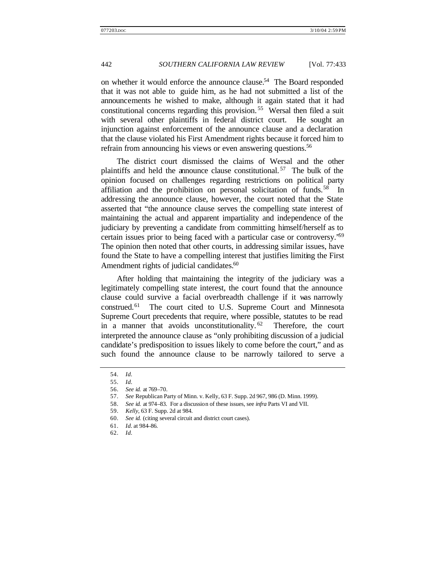on whether it would enforce the announce clause.<sup>54</sup> The Board responded that it was not able to guide him, as he had not submitted a list of the announcements he wished to make, although it again stated that it had constitutional concerns regarding this provision. <sup>55</sup> Wersal then filed a suit with several other plaintiffs in federal district court. He sought an injunction against enforcement of the announce clause and a declaration that the clause violated his First Amendment rights because it forced him to refrain from announcing his views or even answering questions.<sup>56</sup>

The district court dismissed the claims of Wersal and the other plaintiffs and held the announce clause constitutional. <sup>57</sup> The bulk of the opinion focused on challenges regarding restrictions on political party affiliation and the prohibition on personal solicitation of funds.<sup>58</sup> In addressing the announce clause, however, the court noted that the State asserted that "the announce clause serves the compelling state interest of maintaining the actual and apparent impartiality and independence of the judiciary by preventing a candidate from committing himself/herself as to certain issues prior to being faced with a particular case or controversy."<sup>59</sup> The opinion then noted that other courts, in addressing similar issues, have found the State to have a compelling interest that justifies limiting the First Amendment rights of judicial candidates.<sup>60</sup>

After holding that maintaining the integrity of the judiciary was a legitimately compelling state interest, the court found that the announce clause could survive a facial overbreadth challenge if it was narrowly construed.<sup>61</sup> The court cited to U.S. Supreme Court and Minnesota Supreme Court precedents that require, where possible, statutes to be read in a manner that avoids unconstitutionality.  $62$  Therefore, the court interpreted the announce clause as "only prohibiting discussion of a judicial candidate's predisposition to issues likely to come before the court," and as such found the announce clause to be narrowly tailored to serve a

<sup>54.</sup> *Id.*

<sup>55.</sup> *Id.*

<sup>56.</sup> *See id.* at 769–70.

<sup>57.</sup> *See* Republican Party of Minn. v. Kelly, 63 F. Supp. 2d 967, 986 (D. Minn. 1999).

<sup>58.</sup> *See id.* at 974–83. For a discussion of these issues, see *infra* Parts VI and VII.

<sup>59.</sup> *Kelly*, 63 F. Supp. 2d at 984.

<sup>60.</sup> *See id.* (citing several circuit and district court cases).

<sup>61.</sup> *Id.* at 984–86.

<sup>62.</sup> *Id.*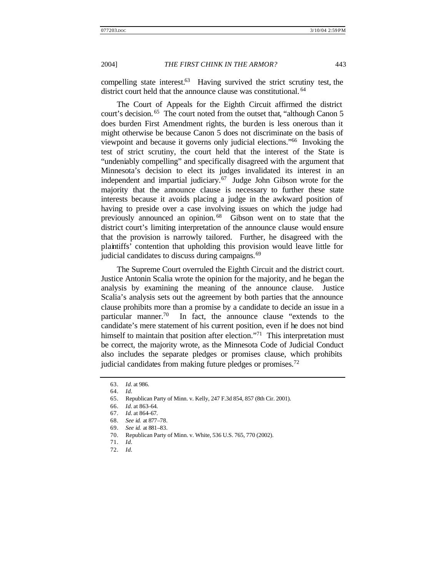compelling state interest. $63$  Having survived the strict scrutiny test, the district court held that the announce clause was constitutional. <sup>64</sup>

The Court of Appeals for the Eighth Circuit affirmed the district court's decision. <sup>65</sup> The court noted from the outset that, "although Canon 5 does burden First Amendment rights, the burden is less onerous than it might otherwise be because Canon 5 does not discriminate on the basis of viewpoint and because it governs only judicial elections."<sup>66</sup> Invoking the test of strict scrutiny, the court held that the interest of the State is "undeniably compelling" and specifically disagreed with the argument that Minnesota's decision to elect its judges invalidated its interest in an independent and impartial judiciary. $67$  Judge John Gibson wrote for the majority that the announce clause is necessary to further these state interests because it avoids placing a judge in the awkward position of having to preside over a case involving issues on which the judge had previously announced an opinion. <sup>68</sup> Gibson went on to state that the district court's limiting interpretation of the announce clause would ensure that the provision is narrowly tailored. Further, he disagreed with the plaintiffs' contention that upholding this provision would leave little for judicial candidates to discuss during campaigns.<sup>69</sup>

The Supreme Court overruled the Eighth Circuit and the district court. Justice Antonin Scalia wrote the opinion for the majority, and he began the analysis by examining the meaning of the announce clause. Justice Scalia's analysis sets out the agreement by both parties that the announce clause prohibits more than a promise by a candidate to decide an issue in a particular manner.<sup>70</sup> In fact, the announce clause "extends to the candidate's mere statement of his current position, even if he does not bind himself to maintain that position after election."<sup>71</sup> This interpretation must be correct, the majority wrote, as the Minnesota Code of Judicial Conduct also includes the separate pledges or promises clause, which prohibits judicial candidates from making future pledges or promises.<sup>72</sup>

70. Republican Party of Minn. v. White, 536 U.S. 765, 770 (2002).

<sup>63.</sup> *Id.* at 986.

<sup>64.</sup> *Id.*

<sup>65.</sup> Republican Party of Minn. v. Kelly, 247 F.3d 854, 857 (8th Cir. 2001).

<sup>66.</sup> *Id.* at 863–64.

<sup>67.</sup> *Id.* at 864–67.

<sup>68.</sup> *See id.* at 877–78.

<sup>69.</sup> *See id.* at 881–83.

<sup>71.</sup> *Id.*

<sup>72.</sup> *Id.*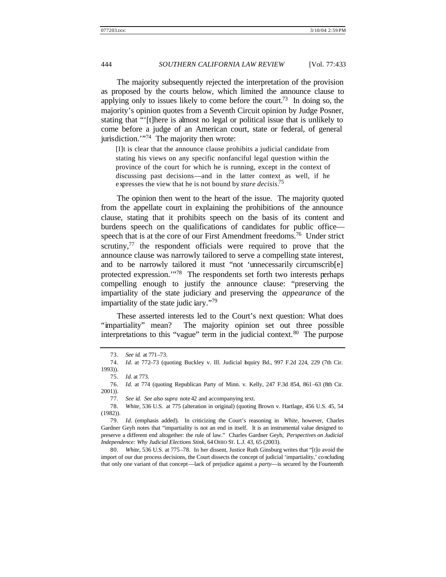The majority subsequently rejected the interpretation of the provision as proposed by the courts below, which limited the announce clause to applying only to issues likely to come before the court.<sup>73</sup> In doing so, the majority's opinion quotes from a Seventh Circuit opinion by Judge Posner, stating that "'[t]here is almost no legal or political issue that is unlikely to come before a judge of an American court, state or federal, of general jurisdiction."<sup>74</sup> The majority then wrote:

[I]t is clear that the announce clause prohibits a judicial candidate from stating his views on any specific nonfanciful legal question within the province of the court for which he is running, except in the context of discussing past decisions—and in the latter context as well, if he expresses the view that he is not bound by *stare decisis*. 75

The opinion then went to the heart of the issue. The majority quoted from the appellate court in explaining the prohibitions of the announce clause, stating that it prohibits speech on the basis of its content and burdens speech on the qualifications of candidates for public office speech that is at the core of our First Amendment freedoms.<sup>76</sup> Under strict scrutiny, $77$  the respondent officials were required to prove that the announce clause was narrowly tailored to serve a compelling state interest, and to be narrowly tailored it must "not 'unnecessarily circumscrib[e] protected expression.'"<sup>78</sup> The respondents set forth two interests perhaps compelling enough to justify the announce clause: "preserving the impartiality of the state judiciary and preserving the *appearance* of the impartiality of the state judic iary."<sup>79</sup>

These asserted interests led to the Court's next question: What does "impartiality" mean? The majority opinion set out three possible interpretations to this "vague" term in the judicial context.<sup>80</sup> The purpose

80. *White*, 536 U.S. at 775–78. In her dissent, Justice Ruth Ginsburg writes that "[t]o avoid the import of our due process decisions, the Court dissects the concept of judicial 'impartiality,' concluding that only one variant of that concept—lack of prejudice against a *party*—is secured by the Fourteenth

<sup>73.</sup> *See id.* at 771–73.

<sup>74.</sup> *Id.* at 772–73 (quoting Buckley v. Ill. Judicial Inquiry Bd., 997 F.2d 224, 229 (7th Cir. 1993)).

<sup>75.</sup> *Id.* at 773.

<sup>76.</sup> *Id.* at 774 (quoting Republican Party of Minn. v. Kelly, 247 F.3d 854, 861–63 (8th Cir. 2001)).

<sup>77.</sup> *See id. See also supra* note 42 and accompanying text.

<sup>78.</sup> *White*, 536 U.S. at 775 (alteration in original) (quoting Brown v. Hartlage, 456 U.S. 45, 54 (1982)).

<sup>79.</sup> *Id.* (emphasis added). In criticizing the Court's reasoning in *White*, however, Charles Gardner Geyh notes that "impartiality is not an end in itself. It is an instrumental value designed to preserve a different end altogether: the rule of law." Charles Gardner Geyh, *Perspectives on Judicial Independence: Why Judicial Elections Stink*, 64 OHIO ST. L.J. 43, 65 (2003).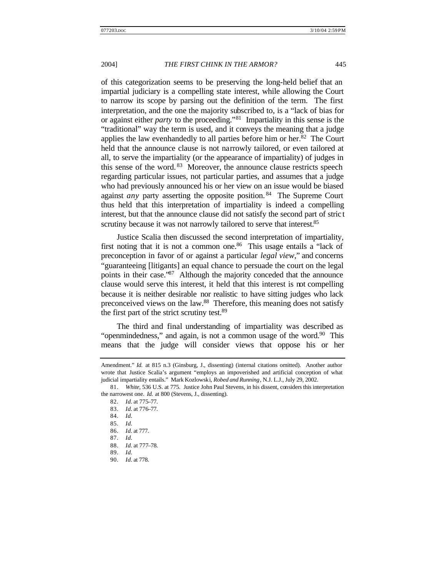of this categorization seems to be preserving the long-held belief that an impartial judiciary is a compelling state interest, while allowing the Court to narrow its scope by parsing out the definition of the term. The first interpretation, and the one the majority subscribed to, is a "lack of bias for or against either *party* to the proceeding."<sup>81</sup> Impartiality in this sense is the "traditional" way the term is used, and it conveys the meaning that a judge applies the law evenhandedly to all parties before him or her. $82$  The Court held that the announce clause is not narrowly tailored, or even tailored at all, to serve the impartiality (or the appearance of impartiality) of judges in this sense of the word. <sup>83</sup> Moreover, the announce clause restricts speech regarding particular issues, not particular parties, and assumes that a judge who had previously announced his or her view on an issue would be biased against *any* party asserting the opposite position. <sup>84</sup> The Supreme Court thus held that this interpretation of impartiality is indeed a compelling interest, but that the announce clause did not satisfy the second part of stric t scrutiny because it was not narrowly tailored to serve that interest.<sup>85</sup>

Justice Scalia then discussed the second interpretation of impartiality, first noting that it is not a common one.<sup>86</sup> This usage entails a "lack of preconception in favor of or against a particular *legal view*," and concerns "guaranteeing [litigants] an equal chance to persuade the court on the legal points in their case.<sup>87</sup> Although the majority conceded that the announce clause would serve this interest, it held that this interest is not compelling because it is neither desirable nor realistic to have sitting judges who lack preconceived views on the law.<sup>88</sup> Therefore, this meaning does not satisfy the first part of the strict scrutiny test.<sup>89</sup>

The third and final understanding of impartiality was described as "openmindedness," and again, is not a common usage of the word. $90$  This means that the judge will consider views that oppose his or her

Amendment." *Id.* at 815 n.3 (Ginsburg, J., dissenting) (internal citations omitted). Another author wrote that Justice Scalia's argument "employs an impoverished and artificial conception of what judicial impartiality entails." Mark Kozlowski, *Robed and Running*, N.J. L.J., July 29, 2002.

<sup>81.</sup> *White*, 536 U.S. at 775. Justice John Paul Stevens, in his dissent, considers this interpretation the narrowest one. *Id.* at 800 (Stevens, J., dissenting).

<sup>82.</sup> *Id.* at 775–77.

<sup>83.</sup> *Id.* at 776–77.

<sup>84.</sup> *Id.*

<sup>85.</sup> *Id.*

<sup>86.</sup> *Id.* at 777.

<sup>87.</sup> *Id.*

<sup>88.</sup> *Id.* at 777–78.

<sup>89.</sup> *Id.*

<sup>90.</sup> *Id.* at 778.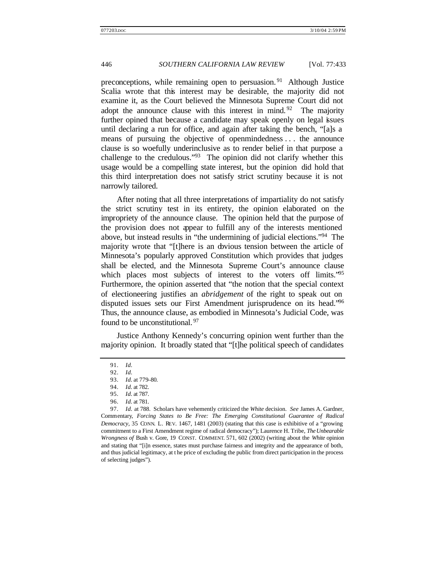preconceptions, while remaining open to persuasion. <sup>91</sup> Although Justice Scalia wrote that this interest may be desirable, the majority did not examine it, as the Court believed the Minnesota Supreme Court did not adopt the announce clause with this interest in mind.<sup>92</sup> The majority further opined that because a candidate may speak openly on legal issues until declaring a run for office, and again after taking the bench, "[a]s a means of pursuing the objective of openmindedness . . . the announce clause is so woefully underinclusive as to render belief in that purpose a challenge to the credulous." $93$  The opinion did not clarify whether this usage would be a compelling state interest, but the opinion did hold that this third interpretation does not satisfy strict scrutiny because it is not narrowly tailored.

After noting that all three interpretations of impartiality do not satisfy the strict scrutiny test in its entirety, the opinion elaborated on the impropriety of the announce clause. The opinion held that the purpose of the provision does not appear to fulfill any of the interests mentioned above, but instead results in "the undermining of judicial elections."<sup>94</sup> The majority wrote that "[t]here is an obvious tension between the article of Minnesota's popularly approved Constitution which provides that judges shall be elected, and the Minnesota Supreme Court's announce clause which places most subjects of interest to the voters off limits."<sup>95</sup> Furthermore, the opinion asserted that "the notion that the special context of electioneering justifies an *abridgement* of the right to speak out on disputed issues sets our First Amendment jurisprudence on its head."<sup>96</sup> Thus, the announce clause, as embodied in Minnesota's Judicial Code, was found to be unconstitutional.<sup>97</sup>

Justice Anthony Kennedy's concurring opinion went further than the majority opinion. It broadly stated that "[t]he political speech of candidates

<sup>91.</sup> *Id.*

<sup>92.</sup> *Id.*

<sup>93.</sup> *Id.* at 779–80.

<sup>94.</sup> *Id.* at 782.

<sup>95.</sup> *Id.* at 787.

<sup>96.</sup> *Id.* at 781.

<sup>97.</sup> *Id.* at 788. Scholars have vehemently criticized the *White* decision. *See* James A. Gardner, Commentary, *Forcing States to Be Free: The Emerging Constitutional Guarantee of Radical Democracy*, 35 CONN. L. REV. 1467, 1481 (2003) (stating that this case is exhibitive of a "growing commitment to a First Amendment regime of radical democracy"); Laurence H. Tribe, *The Unbearable Wrongness of* Bush v. Gore, 19 CONST. COMMENT. 571, 602 (2002) (writing about the *White* opinion and stating that "[i]n essence, states must purchase fairness and integrity and the appearance of both, and thus judicial legitimacy, at t he price of excluding the public from direct participation in the process of selecting judges").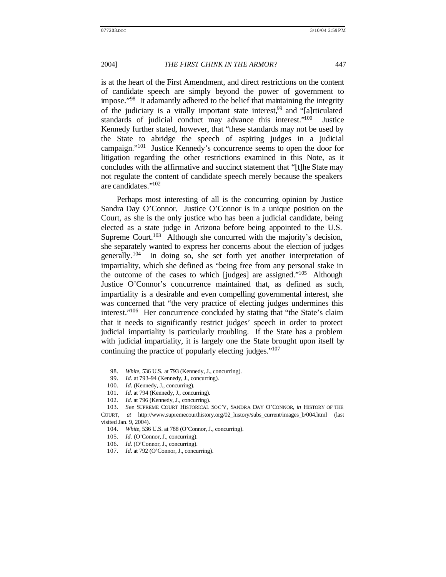is at the heart of the First Amendment, and direct restrictions on the content of candidate speech are simply beyond the power of government to impose."<sup>98</sup> It adamantly adhered to the belief that maintaining the integrity of the judiciary is a vitally important state interest,<sup>99</sup> and "[a]rticulated standards of judicial conduct may advance this interest."<sup>100</sup> **Justice** Kennedy further stated, however, that "these standards may not be used by the State to abridge the speech of aspiring judges in a judicial campaign."<sup>101</sup> Justice Kennedy's concurrence seems to open the door for litigation regarding the other restrictions examined in this Note, as it concludes with the affirmative and succinct statement that "[t]he State may not regulate the content of candidate speech merely because the speakers are candidates."<sup>102</sup>

Perhaps most interesting of all is the concurring opinion by Justice Sandra Day O'Connor. Justice O'Connor is in a unique position on the Court, as she is the only justice who has been a judicial candidate, being elected as a state judge in Arizona before being appointed to the U.S. Supreme Court.<sup>103</sup> Although she concurred with the majority's decision, she separately wanted to express her concerns about the election of judges generally.<sup>104</sup> In doing so, she set forth yet another interpretation of impartiality, which she defined as "being free from any personal stake in the outcome of the cases to which [judges] are assigned."<sup>105</sup> Although Justice O'Connor's concurrence maintained that, as defined as such, impartiality is a desirable and even compelling governmental interest, she was concerned that "the very practice of electing judges undermines this interest."<sup>106</sup> Her concurrence concluded by stating that "the State's claim that it needs to significantly restrict judges' speech in order to protect judicial impartiality is particularly troubling. If the State has a problem with judicial impartiality, it is largely one the State brought upon itself by continuing the practice of popularly electing judges."<sup>107</sup>

<sup>98.</sup> *White*, 536 U.S. at 793 (Kennedy, J., concurring).

<sup>99.</sup> *Id.* at 793–94 (Kennedy, J., concurring).

<sup>100.</sup> *Id.* (Kennedy, J., concurring).

<sup>101.</sup> *Id.* at 794 (Kennedy, J., concurring).

<sup>102.</sup> *Id.* at 796 (Kennedy, J., concurring).

<sup>103.</sup> *See* SUPREME COURT HISTORICAL SOC'Y, SANDRA DAY O'CONNOR, *in* HISTORY OF THE COURT, *at* http://www.supremecourthistory.org/02\_history/subs\_current/images\_b/004.html (last visited Jan. 9, 2004).

<sup>104.</sup> *White*, 536 U.S. at 788 (O'Connor, J., concurring).

<sup>105.</sup> *Id.* (O'Connor, J., concurring).

<sup>106.</sup> *Id.* (O'Connor, J., concurring).

<sup>107.</sup> *Id.* at 792 (O'Connor, J., concurring).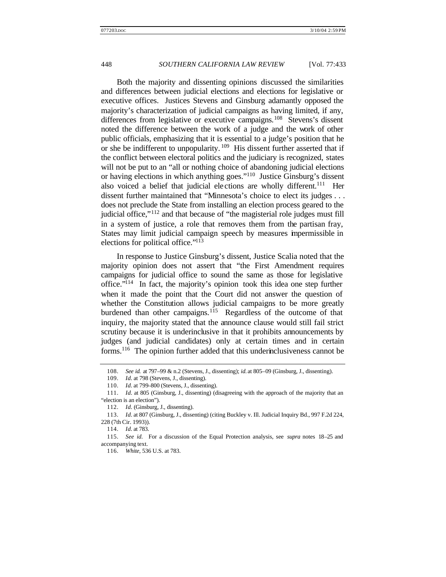Both the majority and dissenting opinions discussed the similarities and differences between judicial elections and elections for legislative or executive offices. Justices Stevens and Ginsburg adamantly opposed the majority's characterization of judicial campaigns as having limited, if any, differences from legislative or executive campaigns.<sup>108</sup> Stevens's dissent noted the difference between the work of a judge and the work of other public officials, emphasizing that it is essential to a judge's position that he or she be indifferent to unpopularity. <sup>109</sup> His dissent further asserted that if the conflict between electoral politics and the judiciary is recognized, states will not be put to an "all or nothing choice of abandoning judicial elections or having elections in which anything goes."<sup>110</sup> Justice Ginsburg's dissent also voiced a belief that judicial elections are wholly different.<sup>111</sup> Her dissent further maintained that "Minnesota's choice to elect its judges . . . does not preclude the State from installing an election process geared to the judicial office,"<sup>112</sup> and that because of "the magisterial role judges must fill in a system of justice, a role that removes them from the partisan fray, States may limit judicial campaign speech by measures impermissible in elections for political office."<sup>113</sup>

In response to Justice Ginsburg's dissent, Justice Scalia noted that the majority opinion does not assert that "the First Amendment requires campaigns for judicial office to sound the same as those for legislative office."<sup>114</sup> In fact, the majority's opinion took this idea one step further when it made the point that the Court did not answer the question of whether the Constitution allows judicial campaigns to be more greatly burdened than other campaigns.<sup>115</sup> Regardless of the outcome of that inquiry, the majority stated that the announce clause would still fail strict scrutiny because it is underinclusive in that it prohibits announcements by judges (and judicial candidates) only at certain times and in certain forms.<sup>116</sup> The opinion further added that this underinclusiveness cannot be

<sup>108.</sup> *See id.* at 797–99 & n.2 (Stevens, J., dissenting); *id.* at 805–09 (Ginsburg, J., dissenting).

<sup>109.</sup> *Id.* at 798 (Stevens, J., dissenting).

<sup>110.</sup> *Id.* at 799–800 (Stevens, J., dissenting).

<sup>111.</sup> *Id.* at 805 (Ginsburg, J., dissenting) (disagreeing with the approach of the majority that an "election is an election").

<sup>112.</sup> *Id.* (Ginsburg, J., dissenting).

<sup>113.</sup> *Id.* at 807 (Ginsburg, J., dissenting) (citing Buckley v. Ill. Judicial Inquiry Bd., 997 F.2d 224, 228 (7th Cir. 1993)).

<sup>114.</sup> *Id.* at 783.

<sup>115.</sup> *See id.* For a discussion of the Equal Protection analysis, see *supra* notes 18–25 and accompanying text.

<sup>116.</sup> *White*, 536 U.S. at 783.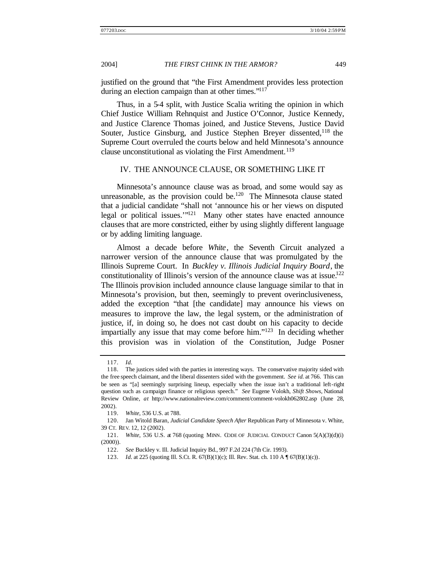justified on the ground that "the First Amendment provides less protection during an election campaign than at other times."<sup>117</sup>

Thus, in a 5-4 split, with Justice Scalia writing the opinion in which Chief Justice William Rehnquist and Justice O'Connor, Justice Kennedy, and Justice Clarence Thomas joined, and Justice Stevens, Justice David Souter, Justice Ginsburg, and Justice Stephen Breyer dissented, <sup>118</sup> the Supreme Court overruled the courts below and held Minnesota's announce clause unconstitutional as violating the First Amendment.<sup>119</sup>

#### IV. THE ANNOUNCE CLAUSE, OR SOMETHING LIKE IT

Minnesota's announce clause was as broad, and some would say as unreasonable, as the provision could be.<sup>120</sup> The Minnesota clause stated that a judicial candidate "shall not 'announce his or her views on disputed legal or political issues.'"<sup>121</sup> Many other states have enacted announce clauses that are more constricted, either by using slightly different language or by adding limiting language.

Almost a decade before *White*, the Seventh Circuit analyzed a narrower version of the announce clause that was promulgated by the Illinois Supreme Court. In *Buckley v. Illinois Judicial Inquiry Board*, the constitutionality of Illinois's version of the announce clause was at issue.<sup>122</sup> The Illinois provision included announce clause language similar to that in Minnesota's provision, but then, seemingly to prevent overinclusiveness, added the exception "that [the candidate] may announce his views on measures to improve the law, the legal system, or the administration of justice, if, in doing so, he does not cast doubt on his capacity to decide impartially any issue that may come before him."<sup>123</sup> In deciding whether this provision was in violation of the Constitution, Judge Posner

<sup>117.</sup> *Id.*

<sup>118.</sup> The justices sided with the parties in interesting ways. The conservative majority sided with the free speech claimant, and the liberal dissenters sided with the government. *See id.* at 766. This can be seen as "[a] seemingly surprising lineup, especially when the issue isn't a traditional left-right question such as campaign finance or religious speech." *See* Eugene Volokh, *Shift Shows*, National Review Online, *at* http://www.nationalreview.com/comment/comment-volokh062802.asp (June 28, 2002).

<sup>119.</sup> *White*, 536 U.S. at 788.

<sup>120.</sup> Jan Witold Baran, *Judicial Candidate Speech After* Republican Party of Minnesota v. White, 39 CT. REV. 12, 12 (2002).

<sup>121.</sup> *White*, 536 U.S. at 768 (quoting MINN. CODE OF JUDICIAL CONDUCT Canon 5(A)(3)(d)(i) (2000)).

<sup>122.</sup> *See* Buckley v. Ill. Judicial Inquiry Bd., 997 F.2d 224 (7th Cir. 1993).

<sup>123.</sup> *Id.* at 225 (quoting Ill. S.Ct. R. 67(B)(1)(c); Ill. Rev. Stat. ch. 110 A  $\sqrt{9}$  67(B)(1)(c)).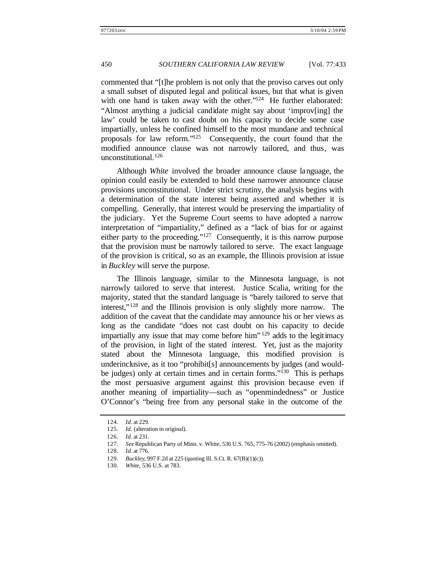commented that "[t]he problem is not only that the proviso carves out only a small subset of disputed legal and political issues, but that what is given with one hand is taken away with the other."<sup>124</sup> He further elaborated: "Almost anything a judicial candidate might say about 'improv[ing] the law' could be taken to cast doubt on his capacity to decide some case impartially, unless he confined himself to the most mundane and technical proposals for law reform."<sup>125</sup> Consequently, the court found that the modified announce clause was not narrowly tailored, and thus, was unconstitutional.<sup>126</sup>

Although *White* involved the broader announce clause language, the opinion could easily be extended to hold these narrower announce clause provisions unconstitutional. Under strict scrutiny, the analysis begins with a determination of the state interest being asserted and whether it is compelling. Generally, that interest would be preserving the impartiality of the judiciary. Yet the Supreme Court seems to have adopted a narrow interpretation of "impartiality," defined as a "lack of bias for or against either party to the proceeding."<sup>127</sup> Consequently, it is this narrow purpose that the provision must be narrowly tailored to serve. The exact language of the provision is critical, so as an example, the Illinois provision at issue in *Buckley* will serve the purpose.

The Illinois language, similar to the Minnesota language, is not narrowly tailored to serve that interest. Justice Scalia, writing for the majority, stated that the standard language is "barely tailored to serve that interest,"<sup>128</sup> and the Illinois provision is only slightly more narrow. The addition of the caveat that the candidate may announce his or her views as long as the candidate "does not cast doubt on his capacity to decide impartially any issue that may come before him<sup> $129$ </sup> adds to the legitimacy of the provision, in light of the stated interest. Yet, just as the majority stated about the Minnesota language, this modified provision is underinclusive, as it too "prohibit[s] announcements by judges (and wouldbe judges) only at certain times and in certain forms."<sup>130</sup> This is perhaps the most persuasive argument against this provision because even if another meaning of impartiality—such as "openmindedness" or Justice O'Connor's "being free from any personal stake in the outcome of the

<sup>124.</sup> *Id.* at 229.

<sup>125.</sup> *Id.* (alteration in original).

<sup>126.</sup> *Id.* at 231.

<sup>127.</sup> *See* Republican Party of Minn. v. White, 536 U.S. 765, 775–76 (2002) (emphasis omitted).

<sup>128.</sup> *Id.* at 776.

<sup>129.</sup> *Buckley*, 997 F.2d at 225 (quoting Ill. S.Ct. R. 67(B)(1)(c)).

<sup>130.</sup> *White*, 536 U.S. at 783.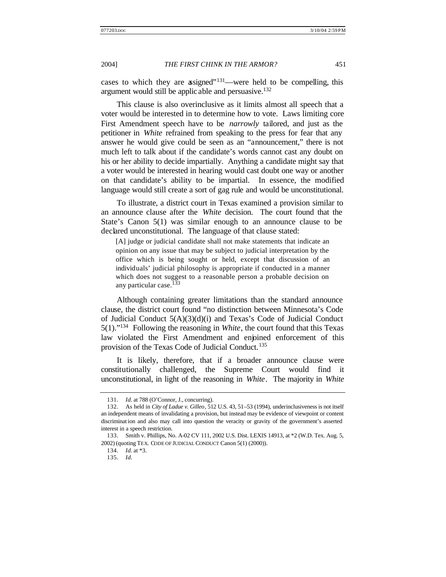cases to which they are assigned"<sup>131</sup>—were held to be compelling, this argument would still be applic able and persuasive.<sup>132</sup>

This clause is also overinclusive as it limits almost all speech that a voter would be interested in to determine how to vote. Laws limiting core First Amendment speech have to be *narrowly* tailored, and just as the petitioner in *White* refrained from speaking to the press for fear that any answer he would give could be seen as an "announcement," there is not much left to talk about if the candidate's words cannot cast any doubt on his or her ability to decide impartially. Anything a candidate might say that a voter would be interested in hearing would cast doubt one way or another on that candidate's ability to be impartial. In essence, the modified language would still create a sort of gag rule and would be unconstitutional.

To illustrate, a district court in Texas examined a provision similar to an announce clause after the *White* decision. The court found that the State's Canon 5(1) was similar enough to an announce clause to be declared unconstitutional. The language of that clause stated:

[A] judge or judicial candidate shall not make statements that indicate an opinion on any issue that may be subject to judicial interpretation by the office which is being sought or held, except that discussion of an individuals' judicial philosophy is appropriate if conducted in a manner which does not suggest to a reasonable person a probable decision on any particular case.<sup>133</sup>

Although containing greater limitations than the standard announce clause, the district court found "no distinction between Minnesota's Code of Judicial Conduct  $5(A)(3)(d)(i)$  and Texas's Code of Judicial Conduct 5(1)."<sup>134</sup> Following the reasoning in *White*, the court found that this Texas law violated the First Amendment and enjoined enforcement of this provision of the Texas Code of Judicial Conduct.<sup>135</sup>

It is likely, therefore, that if a broader announce clause were constitutionally challenged, the Supreme Court would find it unconstitutional, in light of the reasoning in *White*. The majority in *White*

<sup>131.</sup> *Id.* at 788 (O'Connor, J., concurring).

<sup>132.</sup> As held in *City of Ladue v. Gilleo*, 512 U.S. 43, 51–53 (1994), underinclusiveness is not itself an independent means of invalidating a provision, but instead may be evidence of viewpoint or content discriminat ion and also may call into question the veracity or gravity of the government's asserted interest in a speech restriction.

<sup>133.</sup> Smith v. Phillips, No. A-02 CV 111, 2002 U.S. Dist. LEXIS 14913, at \*2 (W.D. Tex. Aug. 5, 2002) (quoting TEX. CODE OF JUDICIAL CONDUCT Canon 5(1) (2000)).

<sup>134.</sup> *Id.* at \*3.

<sup>135.</sup> *Id.*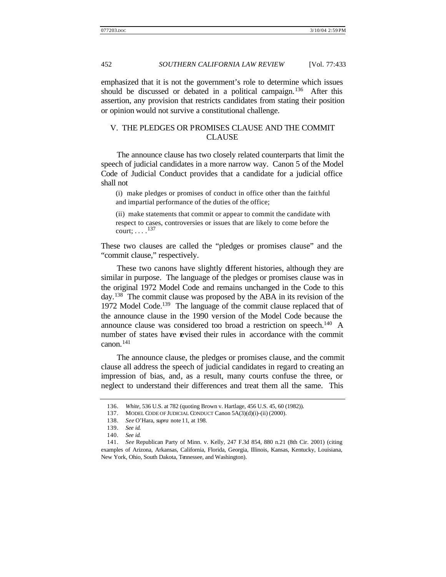emphasized that it is not the government's role to determine which issues should be discussed or debated in a political campaign.<sup>136</sup> After this assertion, any provision that restricts candidates from stating their position or opinion would not survive a constitutional challenge.

# V. THE PLEDGES OR PROMISES CLAUSE AND THE COMMIT CLAUSE

The announce clause has two closely related counterparts that limit the speech of judicial candidates in a more narrow way. Canon 5 of the Model Code of Judicial Conduct provides that a candidate for a judicial office shall not

(i) make pledges or promises of conduct in office other than the faithful and impartial performance of the duties of the office;

(ii) make statements that commit or appear to commit the candidate with respect to cases, controversies or issues that are likely to come before the court;  $\ldots$ .<sup>137</sup>

These two clauses are called the "pledges or promises clause" and the "commit clause," respectively.

These two canons have slightly different histories, although they are similar in purpose. The language of the pledges or promises clause was in the original 1972 Model Code and remains unchanged in the Code to this day.<sup>138</sup> The commit clause was proposed by the ABA in its revision of the 1972 Model Code.<sup>139</sup> The language of the commit clause replaced that of the announce clause in the 1990 version of the Model Code because the announce clause was considered too broad a restriction on speech.<sup>140</sup> A number of states have revised their rules in accordance with the commit canon.<sup>141</sup>

The announce clause, the pledges or promises clause, and the commit clause all address the speech of judicial candidates in regard to creating an impression of bias, and, as a result, many courts confuse the three, or neglect to understand their differences and treat them all the same. This

<sup>136.</sup> *White*, 536 U.S. at 782 (quoting Brown v. Hartlage, 456 U.S. 45, 60 (1982)).

<sup>137.</sup> MODEL CODE OF JUDICIAL CONDUCT Canon 5A(3)(d)(i)–(ii) (2000).

<sup>138.</sup> *See* O'Hara, *supra* note 11, at 198.

<sup>139.</sup> *See id.*

<sup>140.</sup> *See id.*

<sup>141.</sup> *See* Republican Party of Minn. v. Kelly, 247 F.3d 854, 880 n.21 (8th Cir. 2001) (citing examples of Arizona, Arkansas, California, Florida, Georgia, Illinois, Kansas, Kentucky, Louisiana, New York, Ohio, South Dakota, Tennessee, and Washington).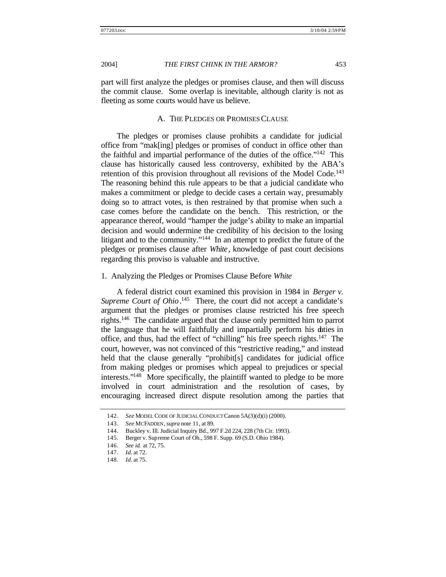part will first analyze the pledges or promises clause, and then will discuss the commit clause. Some overlap is inevitable, although clarity is not as fleeting as some courts would have us believe.

#### A. THE PLEDGES OR PROMISES CLAUSE

The pledges or promises clause prohibits a candidate for judicial office from "mak[ing] pledges or promises of conduct in office other than the faithful and impartial performance of the duties of the office."<sup>142</sup> This clause has historically caused less controversy, exhibited by the ABA's retention of this provision throughout all revisions of the Model Code.<sup>143</sup> The reasoning behind this rule appears to be that a judicial candidate who makes a commitment or pledge to decide cases a certain way, presumably doing so to attract votes, is then restrained by that promise when such a case comes before the candidate on the bench. This restriction, or the appearance thereof, would "hamper the judge's ability to make an impartial decision and would undermine the credibility of his decision to the losing litigant and to the community."<sup>144</sup> In an attempt to predict the future of the pledges or promises clause after *White*, knowledge of past court decisions regarding this proviso is valuable and instructive.

#### 1. Analyzing the Pledges or Promises Clause Before *White*

A federal district court examined this provision in 1984 in *Berger v.*  Supreme Court of Ohio.<sup>145</sup> There, the court did not accept a candidate's argument that the pledges or promises clause restricted his free speech rights.<sup>146</sup> The candidate argued that the clause only permitted him to parrot the language that he will faithfully and impartially perform his duties in office, and thus, had the effect of "chilling" his free speech rights.<sup>147</sup> The court, however, was not convinced of this "restrictive reading," and instead held that the clause generally "prohibit[s] candidates for judicial office from making pledges or promises which appeal to prejudices or special interests."<sup>148</sup> More specifically, the plaintiff wanted to pledge to be more involved in court administration and the resolution of cases, by encouraging increased direct dispute resolution among the parties that

<sup>142.</sup> *See* MODEL CODE OF JUDICIAL CONDUCT Canon 5A(3)(d)(i) (2000).

<sup>143.</sup> *See* MCFADDEN, *supra* note 11, at 89.

<sup>144.</sup> Buckley v. Ill. Judicial Inquiry Bd., 997 F.2d 224, 228 (7th Cir. 1993).

<sup>145.</sup> Berger v. Supreme Court of Oh., 598 F. Supp. 69 (S.D. Ohio 1984).

<sup>146.</sup> *See id.* at 72, 75.

<sup>147.</sup> *Id.* at 72.

<sup>148.</sup> *Id.* at 75.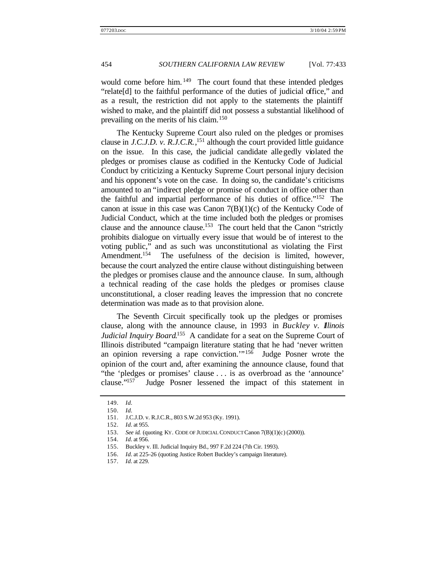would come before him.<sup>149</sup> The court found that these intended pledges "relate[d] to the faithful performance of the duties of judicial office," and as a result, the restriction did not apply to the statements the plaintiff wished to make, and the plaintiff did not possess a substantial likelihood of prevailing on the merits of his claim.<sup>150</sup>

The Kentucky Supreme Court also ruled on the pledges or promises clause in *J.C.J.D. v. R.J.C.R.*, <sup>151</sup> although the court provided little guidance on the issue. In this case, the judicial candidate allegedly violated the pledges or promises clause as codified in the Kentucky Code of Judicial Conduct by criticizing a Kentucky Supreme Court personal injury decision and his opponent's vote on the case. In doing so, the candidate's criticisms amounted to an "indirect pledge or promise of conduct in office other than the faithful and impartial performance of his duties of office."<sup>152</sup> The canon at issue in this case was Canon  $7(B)(1)(c)$  of the Kentucky Code of Judicial Conduct, which at the time included both the pledges or promises clause and the announce clause.<sup>153</sup> The court held that the Canon "strictly prohibits dialogue on virtually every issue that would be of interest to the voting public," and as such was unconstitutional as violating the First Amendment.<sup>154</sup> The usefulness of the decision is limited, however, because the court analyzed the entire clause without distinguishing between the pledges or promises clause and the announce clause. In sum, although a technical reading of the case holds the pledges or promises clause unconstitutional, a closer reading leaves the impression that no concrete determination was made as to that provision alone.

The Seventh Circuit specifically took up the pledges or promises clause, along with the announce clause, in 1993 in *Buckley v. Illinois*  Judicial Inquiry Board.<sup>155</sup> A candidate for a seat on the Supreme Court of Illinois distributed "campaign literature stating that he had 'never written an opinion reversing a rape conviction.'"<sup>156</sup> Judge Posner wrote the opinion of the court and, after examining the announce clause, found that "the 'pledges or promises' clause . . . is as overbroad as the 'announce' clause."<sup>157</sup> Judge Posner lessened the impact of this statement in

<sup>149.</sup> *Id.*

<sup>150.</sup> *Id.*

<sup>151.</sup> J.C.J.D. v. R.J.C.R., 803 S.W.2d 953 (Ky. 1991).

<sup>152.</sup> *Id.* at 955.

<sup>153.</sup> *See id.* (quoting KY. CODE OF JUDICIAL CONDUCT Canon 7(B)(1)(c) (2000)).

<sup>154.</sup> *Id.* at 956.

<sup>155.</sup> Buckley v. Ill. Judicial Inquiry Bd., 997 F.2d 224 (7th Cir. 1993).

<sup>156.</sup> *Id.* at 225–26 (quoting Justice Robert Buckley's campaign literature).

<sup>157.</sup> *Id.* at 229.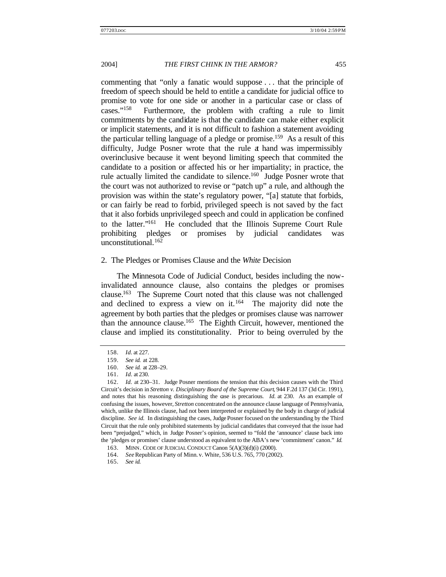commenting that "only a fanatic would suppose . . . that the principle of freedom of speech should be held to entitle a candidate for judicial office to promise to vote for one side or another in a particular case or class of cases."<sup>158</sup> Furthermore, the problem with crafting a rule to limit commitments by the candidate is that the candidate can make either explicit or implicit statements, and it is not difficult to fashion a statement avoiding the particular telling language of a pledge or promise.<sup>159</sup> As a result of this difficulty, Judge Posner wrote that the rule at hand was impermissibly overinclusive because it went beyond limiting speech that commited the candidate to a position or affected his or her impartiality; in practice, the rule actually limited the candidate to silence.<sup>160</sup> Judge Posner wrote that the court was not authorized to revise or "patch up" a rule, and although the provision was within the state's regulatory power, "[a] statute that forbids, or can fairly be read to forbid, privileged speech is not saved by the fact that it also forbids unprivileged speech and could in application be confined to the latter."<sup>161</sup> He concluded that the Illinois Supreme Court Rule prohibiting pledges or promises by judicial candidates was unconstitutional. $162$ 

### 2. The Pledges or Promises Clause and the *White* Decision

The Minnesota Code of Judicial Conduct, besides including the nowinvalidated announce clause, also contains the pledges or promises clause.<sup>163</sup> The Supreme Court noted that this clause was not challenged and declined to express a view on it.<sup>164</sup> The majority did note the agreement by both parties that the pledges or promises clause was narrower than the announce clause.<sup>165</sup> The Eighth Circuit, however, mentioned the clause and implied its constitutionality. Prior to being overruled by the

<sup>158.</sup> *Id.* at 227.

<sup>159.</sup> *See id.* at 228.

<sup>160.</sup> *See id.* at 228–29.

<sup>161.</sup> *Id.* at 230.

<sup>162.</sup> *Id.* at 230–31. Judge Posner mentions the tension that this decision causes with the Third Circuit's decision in *Stretton v. Disciplinary Board of the Supreme Court*, 944 F.2d 137 (3d Cir. 1991), and notes that his reasoning distinguishing the case is precarious. *Id.* at 230. As an example of confusing the issues, however, *Stretton* concentrated on the announce clause language of Pennsylvania, which, unlike the Illinois clause, had not been interpreted or explained by the body in charge of judicial discipline. *See id.* In distinguishing the cases, Judge Posner focused on the understanding by the Third Circuit that the rule only prohibited statements by judicial candidates that conveyed that the issue had been "prejudged," which, in Judge Posner's opinion, seemed to "fold the 'announce' clause back into the 'pledges or promises' clause understood as equivalent to the ABA's new 'commitment' canon." *Id.*

<sup>163.</sup> MINN. CODE OF JUDICIAL CONDUCT Canon 5(A)(3)(d)(i) (2000).

<sup>164.</sup> *See* Republican Party of Minn. v. White, 536 U.S. 765, 770 (2002).

<sup>165.</sup> *See id.*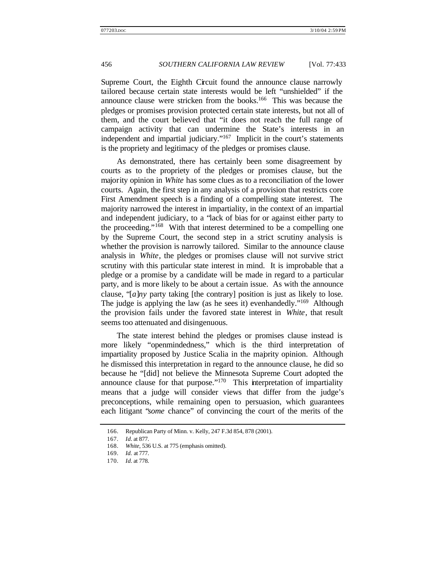Supreme Court, the Eighth Circuit found the announce clause narrowly tailored because certain state interests would be left "unshielded" if the announce clause were stricken from the books.<sup>166</sup> This was because the pledges or promises provision protected certain state interests, but not all of them, and the court believed that "it does not reach the full range of campaign activity that can undermine the State's interests in an independent and impartial judiciary."<sup>167</sup> Implicit in the court's statements is the propriety and legitimacy of the pledges or promises clause.

As demonstrated, there has certainly been some disagreement by courts as to the propriety of the pledges or promises clause, but the majority opinion in *White* has some clues as to a reconciliation of the lower courts. Again, the first step in any analysis of a provision that restricts core First Amendment speech is a finding of a compelling state interest. The majority narrowed the interest in impartiality, in the context of an impartial and independent judiciary, to a "lack of bias for or against either party to the proceeding."<sup>168</sup> With that interest determined to be a compelling one by the Supreme Court, the second step in a strict scrutiny analysis is whether the provision is narrowly tailored. Similar to the announce clause analysis in *White*, the pledges or promises clause will not survive strict scrutiny with this particular state interest in mind. It is improbable that a pledge or a promise by a candidate will be made in regard to a particular party, and is more likely to be about a certain issue. As with the announce clause, "[*a*]*ny* party taking [the contrary] position is just as likely to lose. The judge is applying the law (as he sees it) evenhandedly."<sup>169</sup> Although the provision fails under the favored state interest in *White*, that result seems too attenuated and disingenuous.

The state interest behind the pledges or promises clause instead is more likely "openmindedness," which is the third interpretation of impartiality proposed by Justice Scalia in the majority opinion. Although he dismissed this interpretation in regard to the announce clause, he did so because he "[did] not believe the Minnesota Supreme Court adopted the announce clause for that purpose."<sup>170</sup> This interpretation of impartiality means that a judge will consider views that differ from the judge's preconceptions, while remaining open to persuasion, which guarantees each litigant "*some* chance" of convincing the court of the merits of the

<sup>166.</sup> Republican Party of Minn. v. Kelly, 247 F.3d 854, 878 (2001).

<sup>167.</sup> *Id.* at 877.

<sup>168.</sup> *White*, 536 U.S. at 775 (emphasis omitted).

<sup>169.</sup> *Id.* at 777.

<sup>170.</sup> *Id.* at 778.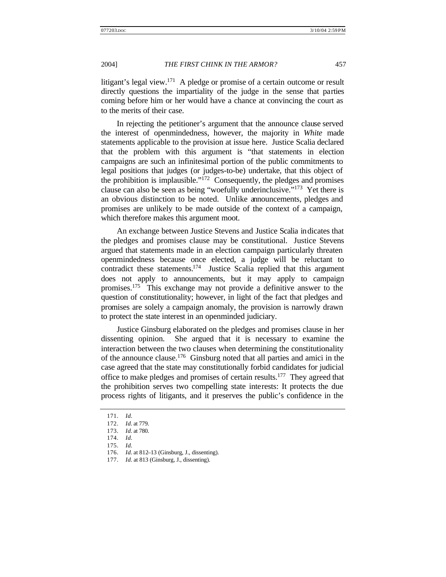litigant's legal view.<sup>171</sup> A pledge or promise of a certain outcome or result directly questions the impartiality of the judge in the sense that parties coming before him or her would have a chance at convincing the court as to the merits of their case.

In rejecting the petitioner's argument that the announce clause served the interest of openmindedness, however, the majority in *White* made statements applicable to the provision at issue here. Justice Scalia declared that the problem with this argument is "that statements in election campaigns are such an infinitesimal portion of the public commitments to legal positions that judges (or judges-to-be) undertake, that this object of the prohibition is implausible."<sup>172</sup> Consequently, the pledges and promises clause can also be seen as being "woefully underinclusive."<sup>173</sup> Yet there is an obvious distinction to be noted. Unlike announcements, pledges and promises are unlikely to be made outside of the context of a campaign, which therefore makes this argument moot.

An exchange between Justice Stevens and Justice Scalia indicates that the pledges and promises clause may be constitutional. Justice Stevens argued that statements made in an election campaign particularly threaten openmindedness because once elected, a judge will be reluctant to contradict these statements.<sup>174</sup> Justice Scalia replied that this argument does not apply to announcements, but it may apply to campaign promises.<sup>175</sup> This exchange may not provide a definitive answer to the question of constitutionality; however, in light of the fact that pledges and promises are solely a campaign anomaly, the provision is narrowly drawn to protect the state interest in an openminded judiciary.

Justice Ginsburg elaborated on the pledges and promises clause in her dissenting opinion. She argued that it is necessary to examine the interaction between the two clauses when determining the constitutionality of the announce clause.<sup>176</sup> Ginsburg noted that all parties and amici in the case agreed that the state may constitutionally forbid candidates for judicial office to make pledges and promises of certain results.<sup>177</sup> They agreed that the prohibition serves two compelling state interests: It protects the due process rights of litigants, and it preserves the public's confidence in the

<sup>171.</sup> *Id.*

<sup>172.</sup> *Id.* at 779.

<sup>173.</sup> *Id.* at 780.

<sup>174.</sup> *Id.*

<sup>175.</sup> *Id.*

<sup>176.</sup> *Id.* at 812–13 (Ginsburg, J., dissenting).

<sup>177.</sup> *Id.* at 813 (Ginsburg, J., dissenting).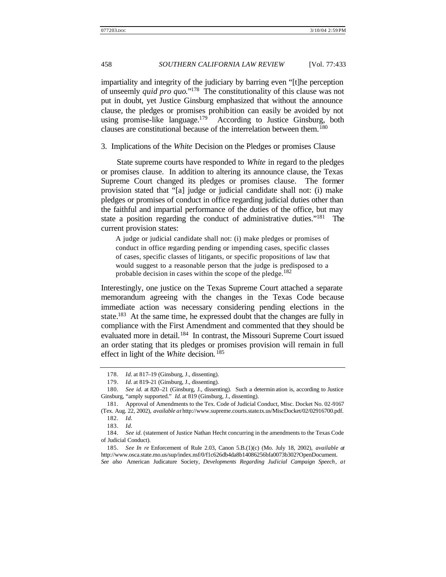impartiality and integrity of the judiciary by barring even "[t]he perception of unseemly *quid pro quo*."<sup>178</sup> The constitutionality of this clause was not put in doubt, yet Justice Ginsburg emphasized that without the announce clause, the pledges or promises prohibition can easily be avoided by not using promise-like language.<sup>179</sup> According to Justice Ginsburg, both clauses are constitutional because of the interrelation between them.<sup>180</sup>

3. Implications of the *White* Decision on the Pledges or promises Clause

State supreme courts have responded to *White* in regard to the pledges or promises clause. In addition to altering its announce clause, the Texas Supreme Court changed its pledges or promises clause. The former provision stated that "[a] judge or judicial candidate shall not: (i) make pledges or promises of conduct in office regarding judicial duties other than the faithful and impartial performance of the duties of the office, but may state a position regarding the conduct of administrative duties."<sup>181</sup> The current provision states:

A judge or judicial candidate shall not: (i) make pledges or promises of conduct in office regarding pending or impending cases, specific classes of cases, specific classes of litigants, or specific propositions of law that would suggest to a reasonable person that the judge is predisposed to a probable decision in cases within the scope of the pledge.<sup>182</sup>

Interestingly, one justice on the Texas Supreme Court attached a separate memorandum agreeing with the changes in the Texas Code because immediate action was necessary considering pending elections in the state.<sup>183</sup> At the same time, he expressed doubt that the changes are fully in compliance with the First Amendment and commented that they should be evaluated more in detail.<sup>184</sup> In contrast, the Missouri Supreme Court issued an order stating that its pledges or promises provision will remain in full effect in light of the *White* decision. <sup>185</sup>

<sup>178.</sup> *Id.* at 817–19 (Ginsburg, J., dissenting).

<sup>179.</sup> *Id.* at 819–21 (Ginsburg, J., dissenting).

<sup>180.</sup> *See id.* at 820–21 (Ginsburg, J., dissenting). Such a determin ation is, according to Justice Ginsburg, "amply supported." *Id.* at 819 (Ginsburg, J., dissenting).

<sup>181.</sup> Approval of Amendments to the Tex. Code of Judicial Conduct, Misc. Docket No. 02-9167 (Tex. Aug. 22, 2002), *available at* http://www.supreme.courts.state.tx.us/MiscDocket/02/02916700.pdf.

<sup>182.</sup> *Id.*

<sup>183.</sup> *Id.*

<sup>184.</sup> *See id.* (statement of Justice Nathan Hecht concurring in the amendments to the Texas Code of Judicial Conduct).

<sup>185.</sup> *See In re* Enforcement of Rule 2.03, Canon 5.B.(1)(c) (Mo. July 18, 2002), *available at*  http://www.osca.state.mo.us/sup/index.nsf/0/f1c626db4da8b14086256bfa0073b302?OpenDocument.

*See also* American Judicature Society, *Developments Regarding Judicial Campaign Speech*, *at*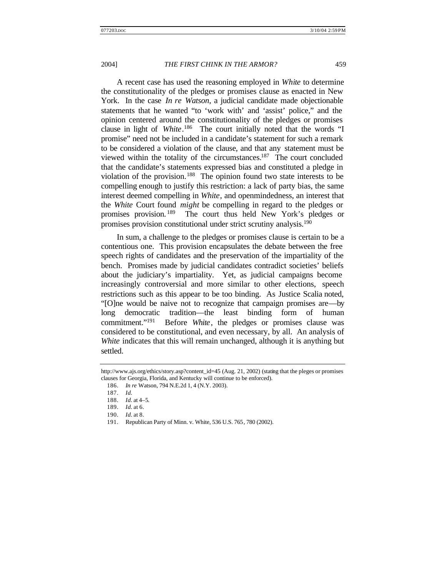A recent case has used the reasoning employed in *White* to determine the constitutionality of the pledges or promises clause as enacted in New York. In the case *In re Watson*, a judicial candidate made objectionable statements that he wanted "to 'work with' and 'assist' police," and the opinion centered around the constitutionality of the pledges or promises clause in light of *White*. <sup>186</sup> The court initially noted that the words "I promise" need not be included in a candidate's statement for such a remark to be considered a violation of the clause, and that any statement must be viewed within the totality of the circumstances.<sup>187</sup> The court concluded that the candidate's statements expressed bias and constituted a pledge in violation of the provision.<sup>188</sup> The opinion found two state interests to be compelling enough to justify this restriction: a lack of party bias, the same interest deemed compelling in *White*, and openmindedness, an interest that the *White* Court found *might* be compelling in regard to the pledges or promises provision. <sup>189</sup> The court thus held New York's pledges or promises provision constitutional under strict scrutiny analysis.<sup>190</sup>

In sum, a challenge to the pledges or promises clause is certain to be a contentious one. This provision encapsulates the debate between the free speech rights of candidates and the preservation of the impartiality of the bench. Promises made by judicial candidates contradict societies' beliefs about the judiciary's impartiality. Yet, as judicial campaigns become increasingly controversial and more similar to other elections, speech restrictions such as this appear to be too binding. As Justice Scalia noted, "[O]ne would be naive not to recognize that campaign promises are—by long democratic tradition—the least binding form of human commitment."<sup>191</sup> Before *White*, the pledges or promises clause was considered to be constitutional, and even necessary, by all. An analysis of *White* indicates that this will remain unchanged, although it is anything but settled.

http://www.ajs.org/ethics/story.asp?content\_id=45 (Aug. 21, 2002) (stating that the pleges or promises clauses for Georgia, Florida, and Kentucky will continue to be enforced).

<sup>186.</sup> *In re* Watson, 794 N.E.2d 1, 4 (N.Y. 2003).

<sup>187.</sup> *Id.*

<sup>188.</sup> *Id.* at 4–5.

<sup>189.</sup> *Id.* at 6.

<sup>190.</sup> *Id.* at 8.

<sup>191.</sup> Republican Party of Minn. v. White, 536 U.S. 765, 780 (2002).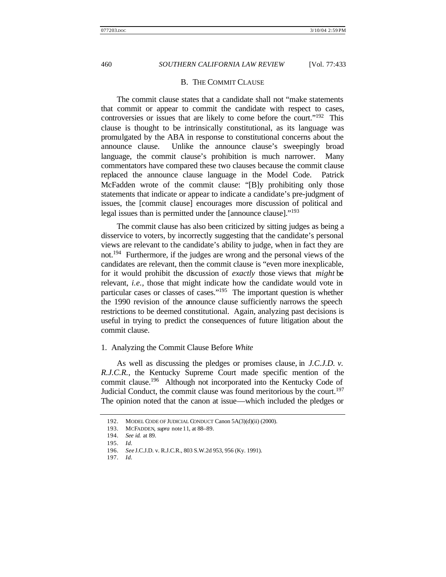#### B. THE COMMIT CLAUSE

The commit clause states that a candidate shall not "make statements that commit or appear to commit the candidate with respect to cases, controversies or issues that are likely to come before the court."<sup>192</sup> This clause is thought to be intrinsically constitutional, as its language was promulgated by the ABA in response to constitutional concerns about the announce clause. Unlike the announce clause's sweepingly broad language, the commit clause's prohibition is much narrower. Many commentators have compared these two clauses because the commit clause replaced the announce clause language in the Model Code. Patrick McFadden wrote of the commit clause: "[B]y prohibiting only those statements that indicate or appear to indicate a candidate's pre-judgment of issues, the [commit clause] encourages more discussion of political and legal issues than is permitted under the [announce clause]."<sup>193</sup>

The commit clause has also been criticized by sitting judges as being a disservice to voters, by incorrectly suggesting that the candidate's personal views are relevant to the candidate's ability to judge, when in fact they are not.<sup>194</sup> Furthermore, if the judges are wrong and the personal views of the candidates are relevant, then the commit clause is "even more inexplicable, for it would prohibit the discussion of *exactly* those views that *might* be relevant, *i.e.*, those that might indicate how the candidate would vote in particular cases or classes of cases."<sup>195</sup> The important question is whether the 1990 revision of the announce clause sufficiently narrows the speech restrictions to be deemed constitutional. Again, analyzing past decisions is useful in trying to predict the consequences of future litigation about the commit clause.

#### 1. Analyzing the Commit Clause Before *White*

As well as discussing the pledges or promises clause, in *J.C.J.D. v. R.J.C.R.*, the Kentucky Supreme Court made specific mention of the commit clause.<sup>196</sup> Although not incorporated into the Kentucky Code of Judicial Conduct, the commit clause was found meritorious by the court.<sup>197</sup> The opinion noted that the canon at issue—which included the pledges or

<sup>192.</sup> MODEL CODE OF JUDICIAL CONDUCT Canon 5A(3)(d)(ii) (2000).

<sup>193.</sup> MCFADDEN, *supra* note 11, at 88–89.

<sup>194.</sup> *See id.* at 89.

<sup>195.</sup> *Id.*

<sup>196.</sup> *See* J.C.J.D. v. R.J.C.R., 803 S.W.2d 953, 956 (Ky. 1991).

<sup>197.</sup> *Id.*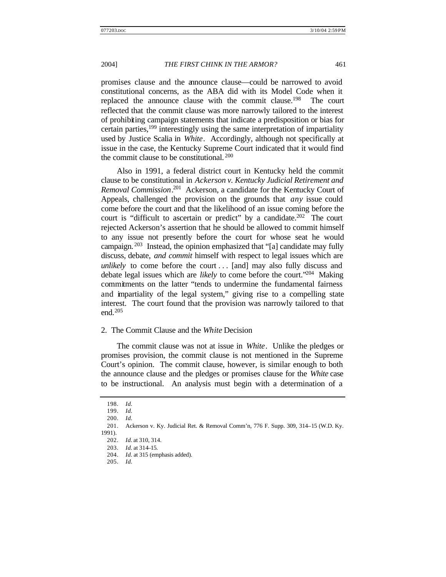promises clause and the announce clause—could be narrowed to avoid constitutional concerns, as the ABA did with its Model Code when it replaced the announce clause with the commit clause.<sup>198</sup> The court reflected that the commit clause was more narrowly tailored to the interest of prohibiting campaign statements that indicate a predisposition or bias for certain parties,<sup>199</sup> interestingly using the same interpretation of impartiality used by Justice Scalia in *White*. Accordingly, although not specifically at issue in the case, the Kentucky Supreme Court indicated that it would find the commit clause to be constitutional. <sup>200</sup>

Also in 1991, a federal district court in Kentucky held the commit clause to be constitutional in *Ackerson v. Kentucky Judicial Retirement and Removal Commission*. <sup>201</sup> Ackerson, a candidate for the Kentucky Court of Appeals, challenged the provision on the grounds that *any* issue could come before the court and that the likelihood of an issue coming before the court is "difficult to ascertain or predict" by a candidate.<sup>202</sup> The court rejected Ackerson's assertion that he should be allowed to commit himself to any issue not presently before the court for whose seat he would campaign. <sup>203</sup> Instead, the opinion emphasized that "[a] candidate may fully discuss, debate, *and commit* himself with respect to legal issues which are *unlikely* to come before the court . . . [and] may also fully discuss and debate legal issues which are *likely* to come before the court."<sup>204</sup> Making commitments on the latter "tends to undermine the fundamental fairness and impartiality of the legal system," giving rise to a compelling state interest. The court found that the provision was narrowly tailored to that end.<sup>205</sup>

#### 2. The Commit Clause and the *White* Decision

The commit clause was not at issue in *White*. Unlike the pledges or promises provision, the commit clause is not mentioned in the Supreme Court's opinion. The commit clause, however, is similar enough to both the announce clause and the pledges or promises clause for the *White* case to be instructional. An analysis must begin with a determination of a

<sup>198.</sup> *Id.*

<sup>199.</sup> *Id.*

<sup>200.</sup> *Id.*

<sup>201.</sup> Ackerson v. Ky. Judicial Ret. & Removal Comm'n, 776 F. Supp. 309, 314–15 (W.D. Ky. 1991).

<sup>202.</sup> *Id.* at 310, 314.

<sup>203.</sup> *Id.* at 314–15.

<sup>204.</sup> *Id.* at 315 (emphasis added).

<sup>205.</sup> *Id.*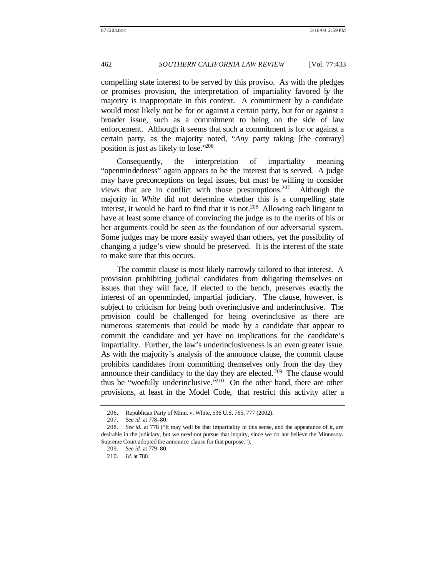compelling state interest to be served by this proviso. As with the pledges or promises provision, the interpretation of impartiality favored by the majority is inappropriate in this context. A commitment by a candidate would most likely not be for or against a certain party, but for or against a broader issue, such as a commitment to being on the side of law enforcement. Although it seems that such a commitment is for or against a certain party, as the majority noted, "*Any* party taking [the contrary] position is just as likely to lose."<sup>206</sup>

Consequently, the interpretation of impartiality meaning "openmindedness" again appears to be the interest that is served. A judge may have preconceptions on legal issues, but must be willing to consider views that are in conflict with those presumptions.<sup>207</sup> Although the majority in *White* did not determine whether this is a compelling state interest, it would be hard to find that it is not.<sup>208</sup> Allowing each litigant to have at least some chance of convincing the judge as to the merits of his or her arguments could be seen as the foundation of our adversarial system. Some judges may be more easily swayed than others, yet the possibility of changing a judge's view should be preserved. It is the interest of the state to make sure that this occurs.

The commit clause is most likely narrowly tailored to that interest. A provision prohibiting judicial candidates from obligating themselves on issues that they will face, if elected to the bench, preserves exactly the interest of an openminded, impartial judiciary. The clause, however, is subject to criticism for being both overinclusive and underinclusive. The provision could be challenged for being overinclusive as there are numerous statements that could be made by a candidate that appear to commit the candidate and yet have no implications for the candidate's impartiality. Further, the law's underinclusiveness is an even greater issue. As with the majority's analysis of the announce clause, the commit clause prohibits candidates from committing themselves only from the day they announce their candidacy to the day they are elected.<sup>209</sup> The clause would thus be "woefully underinclusive."<sup>210</sup> On the other hand, there are other provisions, at least in the Model Code, that restrict this activity after a

<sup>206.</sup> Republican Party of Minn. v. White, 536 U.S. 765, 777 (2002).<br>207. See id. at 778–80.

<sup>207.</sup> *See id.* at 778–80.

<sup>208.</sup> *See id.* at 778 ("It may well be that impartiality in this sense, and the appearance of it, are desirable in the judiciary, but we need not pursue that inquiry, since we do not believe the Minnesota Supreme Court adopted the announce clause for that purpose.").

<sup>209.</sup> *See id.* at 779–80.

<sup>210.</sup> *Id.* at 780.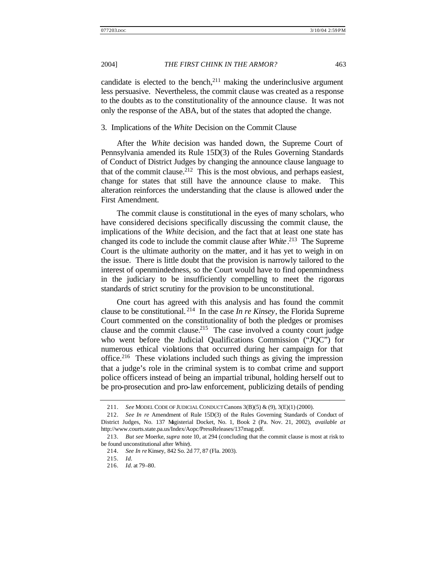candidate is elected to the bench, $2^{11}$  making the underinclusive argument less persuasive. Nevertheless, the commit clause was created as a response to the doubts as to the constitutionality of the announce clause. It was not only the response of the ABA, but of the states that adopted the change.

#### 3. Implications of the *White* Decision on the Commit Clause

After the *White* decision was handed down, the Supreme Court of Pennsylvania amended its Rule 15D(3) of the Rules Governing Standards of Conduct of District Judges by changing the announce clause language to that of the commit clause.<sup>212</sup> This is the most obvious, and perhaps easiest, change for states that still have the announce clause to make. This alteration reinforces the understanding that the clause is allowed under the First Amendment.

The commit clause is constitutional in the eyes of many scholars, who have considered decisions specifically discussing the commit clause, the implications of the *White* decision, and the fact that at least one state has changed its code to include the commit clause after *White*. <sup>213</sup> The Supreme Court is the ultimate authority on the matter, and it has yet to weigh in on the issue. There is little doubt that the provision is narrowly tailored to the interest of openmindedness, so the Court would have to find openmindness in the judiciary to be insufficiently compelling to meet the rigorous standards of strict scrutiny for the provision to be unconstitutional.

One court has agreed with this analysis and has found the commit clause to be constitutional. <sup>214</sup> In the case *In re Kinsey*, the Florida Supreme Court commented on the constitutionality of both the pledges or promises clause and the commit clause.<sup>215</sup> The case involved a county court judge who went before the Judicial Qualifications Commission ("JQC") for numerous ethical violations that occurred during her campaign for that office.<sup>216</sup> These violations included such things as giving the impression that a judge's role in the criminal system is to combat crime and support police officers instead of being an impartial tribunal, holding herself out to be pro-prosecution and pro-law enforcement, publicizing details of pending

<sup>211.</sup> *See* MODEL CODE OF JUDICIAL CONDUCT Canons 3(B)(5) & (9), 3(E)(1) (2000).

<sup>212.</sup> *See In re* Amendment of Rule 15D(3) of the Rules Governing Standards of Conduct of District Judges, No. 137 Magisterial Docket, No. 1, Book 2 (Pa. Nov. 21, 2002), *available at* http://www.courts.state.pa.us/Index/Aopc/PressReleases/137mag.pdf.

<sup>213.</sup> *But see* Moerke, *supra* note 10, at 294 (concluding that the commit clause is most at risk to be found unconstitutional after *White*).

<sup>214.</sup> *See In re* Kinsey, 842 So. 2d 77, 87 (Fla. 2003).

<sup>215.</sup> *Id.*

<sup>216.</sup> *Id.* at 79–80.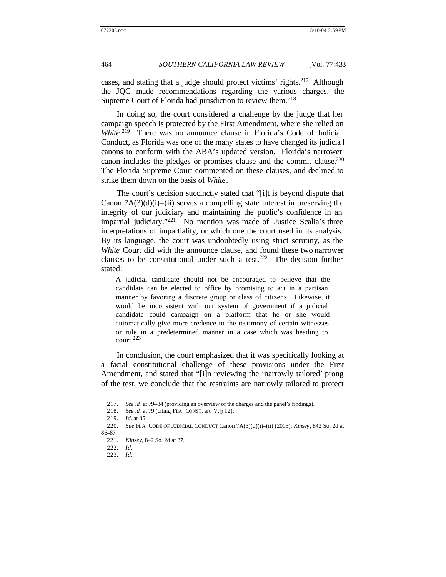cases, and stating that a judge should protect victims' rights.<sup>217</sup> Although the JQC made recommendations regarding the various charges, the Supreme Court of Florida had jurisdiction to review them.<sup>218</sup>

In doing so, the court considered a challenge by the judge that her campaign speech is protected by the First Amendment, where she relied on White.<sup>219</sup> There was no announce clause in Florida's Code of Judicial Conduct, as Florida was one of the many states to have changed its judicia l canons to conform with the ABA's updated version. Florida's narrower canon includes the pledges or promises clause and the commit clause.<sup>220</sup> The Florida Supreme Court commented on these clauses, and declined to strike them down on the basis of *White*.

The court's decision succinctly stated that "[i]t is beyond dispute that Canon  $7A(3)(d)(i)$ –(ii) serves a compelling state interest in preserving the integrity of our judiciary and maintaining the public's confidence in an impartial judiciary."<sup>221</sup> No mention was made of Justice Scalia's three interpretations of impartiality, or which one the court used in its analysis. By its language, the court was undoubtedly using strict scrutiny, as the *White* Court did with the announce clause, and found these two narrower clauses to be constitutional under such a test.<sup>222</sup> The decision further stated:

A judicial candidate should not be encouraged to believe that the candidate can be elected to office by promising to act in a partisan manner by favoring a discrete group or class of citizens. Likewise, it would be inconsistent with our system of government if a judicial candidate could campaign on a platform that he or she would automatically give more credence to the testimony of certain witnesses or rule in a predetermined manner in a case which was heading to court.<sup>223</sup>

In conclusion, the court emphasized that it was specifically looking at a facial constitutional challenge of these provisions under the First Amendment, and stated that "[i]n reviewing the 'narrowly tailored' prong of the test, we conclude that the restraints are narrowly tailored to protect

<sup>217.</sup> *See id.* at 79–84 (providing an overview of the charges and the panel's findings).

<sup>218.</sup> *See id.* at 79 (citing FLA. CONST. art. V, § 12).

<sup>219.</sup> *Id.* at 85.

<sup>220.</sup> *See* FLA. CODE OF JUDICIAL CONDUCT Canon 7A(3)(d)(i)–(ii) (2003); *Kinsey*, 842 So. 2d at 86–87.

<sup>221.</sup> *Kinsey*, 842 So. 2d at 87.

<sup>222.</sup> *Id.*

<sup>223.</sup> *Id.*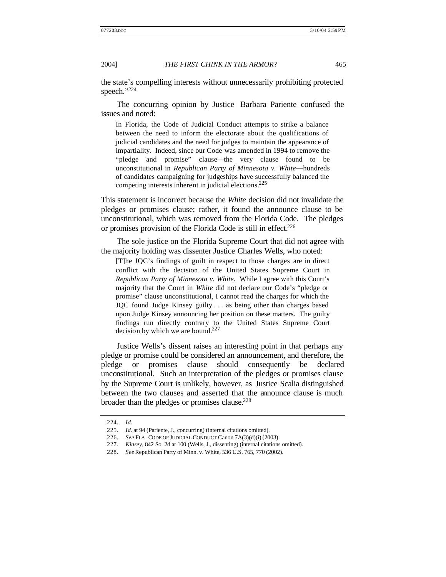the state's compelling interests without unnecessarily prohibiting protected speech."224

The concurring opinion by Justice Barbara Pariente confused the issues and noted:

In Florida, the Code of Judicial Conduct attempts to strike a balance between the need to inform the electorate about the qualifications of judicial candidates and the need for judges to maintain the appearance of impartiality. Indeed, since our Code was amended in 1994 to remove the "pledge and promise" clause—the very clause found to be unconstitutional in *Republican Party of Minnesota v. White*—hundreds of candidates campaigning for judgeships have successfully balanced the competing interests inherent in judicial elections.<sup>225</sup>

This statement is incorrect because the *White* decision did not invalidate the pledges or promises clause; rather, it found the announce clause to be unconstitutional, which was removed from the Florida Code. The pledges or promises provision of the Florida Code is still in effect.<sup>226</sup>

The sole justice on the Florida Supreme Court that did not agree with the majority holding was dissenter Justice Charles Wells, who noted:

[T]he JQC's findings of guilt in respect to those charges are in direct conflict with the decision of the United States Supreme Court in *Republican Party of Minnesota v. White*. While I agree with this Court's majority that the Court in *White* did not declare our Code's "pledge or promise" clause unconstitutional, I cannot read the charges for which the JQC found Judge Kinsey guilty . . . as being other than charges based upon Judge Kinsey announcing her position on these matters. The guilty findings run directly contrary to the United States Supreme Court decision by which we are bound.<sup>227</sup>

Justice Wells's dissent raises an interesting point in that perhaps any pledge or promise could be considered an announcement, and therefore, the pledge or promises clause should consequently be declared unconstitutional. Such an interpretation of the pledges or promises clause by the Supreme Court is unlikely, however, as Justice Scalia distinguished between the two clauses and asserted that the announce clause is much broader than the pledges or promises clause.<sup>228</sup>

<sup>224.</sup> *Id.*

<sup>225.</sup> *Id.* at 94 (Pariente, J., concurring) (internal citations omitted).

<sup>226.</sup> *See* FLA. CODE OF JUDICIAL CONDUCT Canon 7A(3)(d)(i) (2003).

<sup>227.</sup> *Kinsey*, 842 So. 2d at 100 (Wells, J., dissenting) (internal citations omitted).

<sup>228.</sup> *See* Republican Party of Minn. v. White, 536 U.S. 765, 770 (2002).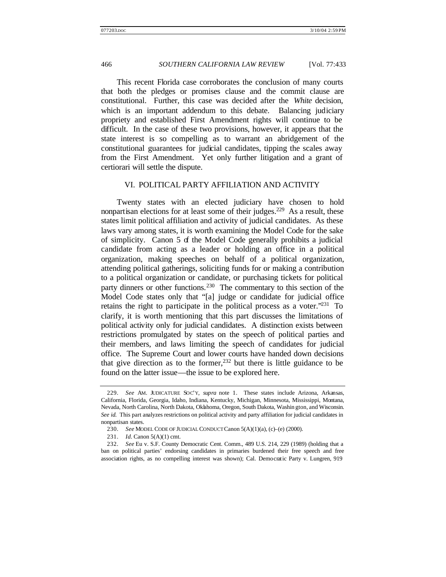This recent Florida case corroborates the conclusion of many courts that both the pledges or promises clause and the commit clause are constitutional. Further, this case was decided after the *White* decision, which is an important addendum to this debate. Balancing judiciary propriety and established First Amendment rights will continue to be difficult. In the case of these two provisions, however, it appears that the state interest is so compelling as to warrant an abridgement of the constitutional guarantees for judicial candidates, tipping the scales away from the First Amendment. Yet only further litigation and a grant of certiorari will settle the dispute.

#### VI. POLITICAL PARTY AFFILIATION AND ACTIVITY

Twenty states with an elected judiciary have chosen to hold nonpartisan elections for at least some of their judges.<sup>229</sup> As a result, these states limit political affiliation and activity of judicial candidates. As these laws vary among states, it is worth examining the Model Code for the sake of simplicity. Canon 5 of the Model Code generally prohibits a judicial candidate from acting as a leader or holding an office in a political organization, making speeches on behalf of a political organization, attending political gatherings, soliciting funds for or making a contribution to a political organization or candidate, or purchasing tickets for political party dinners or other functions.<sup>230</sup> The commentary to this section of the Model Code states only that "[a] judge or candidate for judicial office retains the right to participate in the political process as a voter.<sup>"231</sup> To clarify, it is worth mentioning that this part discusses the limitations of political activity only for judicial candidates. A distinction exists between restrictions promulgated by states on the speech of political parties and their members, and laws limiting the speech of candidates for judicial office. The Supreme Court and lower courts have handed down decisions that give direction as to the former,  $232$  but there is little guidance to be found on the latter issue—the issue to be explored here.

<sup>229.</sup> *See* AM. JUDICATURE SOC'Y, *supra* note 1. These states include Arizona, Arkansas, California, Florida, Georgia, Idaho, Indiana, Kentucky, Michigan, Minnesota, Mississippi, Montana, Nevada, North Carolina, North Dakota, Oklahoma, Oregon, South Dakota, Washin gton, and Wisconsin. *See id.* This part analyzes restrictions on political activity and party affiliation for judicial candidates in nonpartisan states.

<sup>230.</sup> *See* MODEL CODE OF JUDICIAL CONDUCT Canon 5(A)(1)(a), (c)–(e) (2000).

<sup>231.</sup> *Id.* Canon 5(A)(1) cmt.

<sup>232.</sup> *See* Eu v. S.F. County Democratic Cent. Comm., 489 U.S. 214, 229 (1989) (holding that a ban on political parties' endorsing candidates in primaries burdened their free speech and free association rights, as no compelling interest was shown); Cal. Democratic Party v. Lungren, 919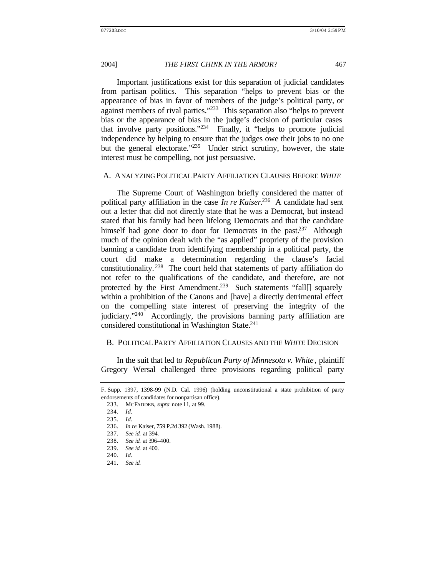Important justifications exist for this separation of judicial candidates from partisan politics. This separation "helps to prevent bias or the appearance of bias in favor of members of the judge's political party, or against members of rival parties."<sup>233</sup> This separation also "helps to prevent bias or the appearance of bias in the judge's decision of particular cases that involve party positions."<sup>234</sup> Finally, it "helps to promote judicial independence by helping to ensure that the judges owe their jobs to no one but the general electorate."<sup>235</sup> Under strict scrutiny, however, the state interest must be compelling, not just persuasive.

#### A. ANALYZING POLITICAL PARTY AFFILIATION CLAUSES BEFORE *WHITE*

The Supreme Court of Washington briefly considered the matter of political party affiliation in the case *In re Kaiser*. <sup>236</sup> A candidate had sent out a letter that did not directly state that he was a Democrat, but instead stated that his family had been lifelong Democrats and that the candidate himself had gone door to door for Democrats in the past.<sup>237</sup> Although much of the opinion dealt with the "as applied" propriety of the provision banning a candidate from identifying membership in a political party, the court did make a determination regarding the clause's facial constitutionality. <sup>238</sup> The court held that statements of party affiliation do not refer to the qualifications of the candidate, and therefore, are not protected by the First Amendment.<sup>239</sup> Such statements "fall[] squarely within a prohibition of the Canons and [have] a directly detrimental effect on the compelling state interest of preserving the integrity of the judiciary."<sup>240</sup> Accordingly, the provisions banning party affiliation are considered constitutional in Washington State.<sup>241</sup>

#### B. POLITICAL PARTY AFFILIATION CLAUSES AND THE *WHITE* DECISION

In the suit that led to *Republican Party of Minnesota v. White* , plaintiff Gregory Wersal challenged three provisions regarding political party

F. Supp. 1397, 1398–99 (N.D. Cal. 1996) (holding unconstitutional a state prohibition of party endorsements of candidates for nonpartisan office).

<sup>233.</sup> MCFADDEN, *supra* note 11, at 99.

<sup>234.</sup> *Id.*

<sup>235.</sup> *Id.*

<sup>236.</sup> *In re* Kaiser, 759 P.2d 392 (Wash. 1988).

<sup>237.</sup> *See id.* at 394.

<sup>238.</sup> *See id.* at 396–400.

<sup>239.</sup> *See id.* at 400.

<sup>240.</sup> *Id.*

<sup>241.</sup> *See id.*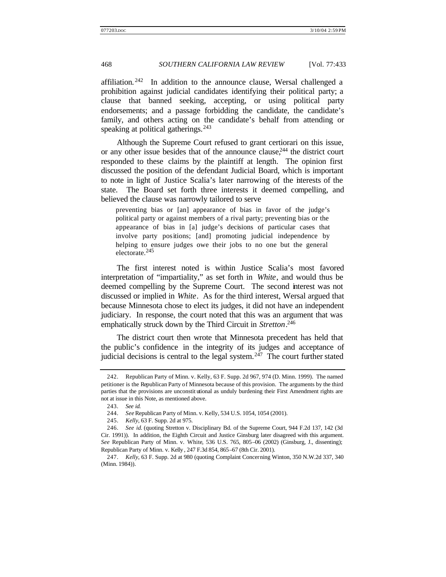affiliation*.* <sup>242</sup> In addition to the announce clause, Wersal challenged a prohibition against judicial candidates identifying their political party; a clause that banned seeking, accepting, or using political party endorsements; and a passage forbidding the candidate, the candidate's family, and others acting on the candidate's behalf from attending or speaking at political gatherings.  $243$ 

Although the Supreme Court refused to grant certiorari on this issue, or any other issue besides that of the announce clause,  $244$  the district court responded to these claims by the plaintiff at length. The opinion first discussed the position of the defendant Judicial Board, which is important to note in light of Justice Scalia's later narrowing of the interests of the state. The Board set forth three interests it deemed compelling, and believed the clause was narrowly tailored to serve

preventing bias or [an] appearance of bias in favor of the judge's political party or against members of a rival party; preventing bias or the appearance of bias in [a] judge's decisions of particular cases that involve party positions; [and] promoting judicial independence by helping to ensure judges owe their jobs to no one but the general electorate.<sup>245</sup>

The first interest noted is within Justice Scalia's most favored interpretation of "impartiality," as set forth in *White*, and would thus be deemed compelling by the Supreme Court. The second interest was not discussed or implied in *White*. As for the third interest, Wersal argued that because Minnesota chose to elect its judges, it did not have an independent judiciary. In response, the court noted that this was an argument that was emphatically struck down by the Third Circuit in *Stretton*. 246

The district court then wrote that Minnesota precedent has held that the public's confidence in the integrity of its judges and acceptance of judicial decisions is central to the legal system. $247$  The court further stated

<sup>242.</sup> Republican Party of Minn. v. Kelly, 63 F. Supp. 2d 967, 974 (D. Minn. 1999). The named petitioner is the Republican Party of Minnesota because of this provision. The arguments by the third parties that the provisions are unconstit utional as unduly burdening their First Amendment rights are not at issue in this Note, as mentioned above.

<sup>243.</sup> *See id.*

<sup>244.</sup> *See* Republican Party of Minn. v. Kelly, 534 U.S. 1054, 1054 (2001).

<sup>245.</sup> *Kelly*, 63 F. Supp. 2d at 975.

<sup>246.</sup> *See id.* (quoting Stretton v. Disciplinary Bd. of the Supreme Court, 944 F.2d 137, 142 (3d Cir. 1991)). In addition, the Eighth Circuit and Justice Ginsburg later disagreed with this argument. *See* Republican Party of Minn. v. White, 536 U.S. 765, 805–06 (2002) (Ginsburg, J., dissenting); Republican Party of Minn. v. Kelly , 247 F.3d 854, 865–67 (8th Cir. 2001).

<sup>247.</sup> *Kelly*, 63 F. Supp. 2d at 980 (quoting Complaint Concerning Winton, 350 N.W.2d 337, 340 (Minn. 1984)).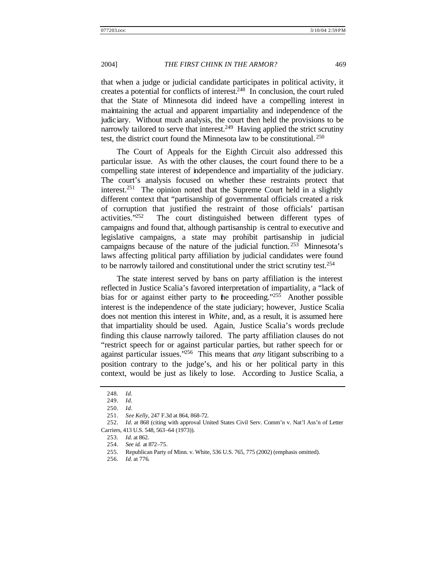that when a judge or judicial candidate participates in political activity, it creates a potential for conflicts of interest. $248$  In conclusion, the court ruled that the State of Minnesota did indeed have a compelling interest in maintaining the actual and apparent impartiality and independence of the judiciary. Without much analysis, the court then held the provisions to be narrowly tailored to serve that interest.<sup>249</sup> Having applied the strict scrutiny test, the district court found the Minnesota law to be constitutional. <sup>250</sup>

The Court of Appeals for the Eighth Circuit also addressed this particular issue. As with the other clauses, the court found there to be a compelling state interest of independence and impartiality of the judiciary. The court's analysis focused on whether these restraints protect that interest.<sup>251</sup> The opinion noted that the Supreme Court held in a slightly different context that "partisanship of governmental officials created a risk of corruption that justified the restraint of those officials' partisan activities."<sup>252</sup> The court distinguished between different types of campaigns and found that, although partisanship is central to executive and legislative campaigns, a state may prohibit partisanship in judicial campaigns because of the nature of the judicial function. <sup>253</sup> Minnesota's laws affecting political party affiliation by judicial candidates were found to be narrowly tailored and constitutional under the strict scrutiny test.<sup>254</sup>

The state interest served by bans on party affiliation is the interest reflected in Justice Scalia's favored interpretation of impartiality, a "lack of bias for or against either party to the proceeding." $25\overline{5}$  Another possible interest is the independence of the state judiciary; however, Justice Scalia does not mention this interest in *White*, and, as a result, it is assumed here that impartiality should be used. Again, Justice Scalia's words preclude finding this clause narrowly tailored. The party affiliation clauses do not "restrict speech for or against particular parties, but rather speech for or against particular issues."<sup>256</sup> This means that *any* litigant subscribing to a position contrary to the judge's, and his or her political party in this context, would be just as likely to lose. According to Justice Scalia, a

<sup>248.</sup> *Id.*

<sup>249.</sup> *Id.*

<sup>250.</sup> *Id.*

<sup>251.</sup> *See Kelly*, 247 F.3d at 864, 868–72.

<sup>252.</sup> *Id.* at 868 (citing with approval United States Civil Serv. Comm'n v. Nat'l Ass'n of Letter Carriers, 413 U.S. 548, 563–64 (1973)).

<sup>253.</sup> *Id.* at 862.

<sup>254.</sup> *See id.* at 872–75.

<sup>255.</sup> Republican Party of Minn. v. White, 536 U.S. 765, 775 (2002) (emphasis omitted).

<sup>256.</sup> *Id.* at 776.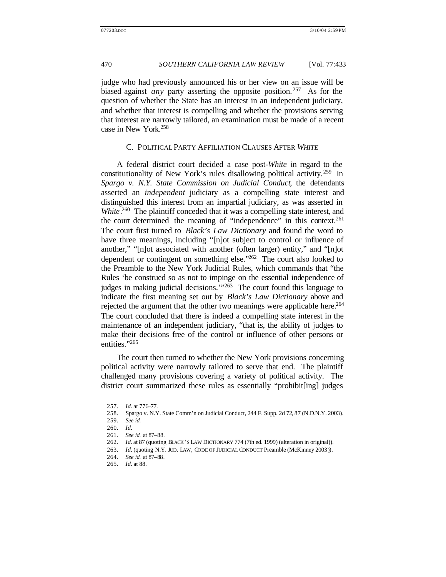judge who had previously announced his or her view on an issue will be biased against *any* party asserting the opposite position. <sup>257</sup> As for the question of whether the State has an interest in an independent judiciary, and whether that interest is compelling and whether the provisions serving that interest are narrowly tailored, an examination must be made of a recent case in New York.<sup>258</sup>

#### C. POLITICAL PARTY AFFILIATION CLAUSES AFTER *WHITE*

A federal district court decided a case post-*White* in regard to the constitutionality of New York's rules disallowing political activity.<sup>259</sup> In *Spargo v. N.Y. State Commission on Judicial Conduct*, the defendants asserted an *independent* judiciary as a compelling state interest and distinguished this interest from an impartial judiciary, as was asserted in White.<sup>260</sup> The plaintiff conceded that it was a compelling state interest, and the court determined the meaning of "independence" in this context.<sup>261</sup> The court first turned to *Black's Law Dictionary* and found the word to have three meanings, including "[n]ot subject to control or influence of another," "[n]ot associated with another (often larger) entity," and "[n]ot dependent or contingent on something else."<sup>262</sup> The court also looked to the Preamble to the New York Judicial Rules, which commands that "the Rules 'be construed so as not to impinge on the essential independence of judges in making judicial decisions.'"<sup>263</sup> The court found this language to indicate the first meaning set out by *Black's Law Dictionary* above and rejected the argument that the other two meanings were applicable here.<sup>264</sup> The court concluded that there is indeed a compelling state interest in the maintenance of an independent judiciary, "that is, the ability of judges to make their decisions free of the control or influence of other persons or entities."265

The court then turned to whether the New York provisions concerning political activity were narrowly tailored to serve that end. The plaintiff challenged many provisions covering a variety of political activity. The district court summarized these rules as essentially "prohibit[ing] judges

<sup>257.</sup> *Id.* at 776–77.

<sup>258.</sup> Spargo v. N.Y. State Comm'n on Judicial Conduct, 244 F. Supp. 2d 72, 87 (N.D.N.Y. 2003).

<sup>259.</sup> *See id.*

<sup>260.</sup> *Id.*

<sup>261.</sup> *See id.* at 87–88.

<sup>262.</sup> *Id.* at 87 (quoting BLACK 'S LAW DICTIONARY 774 (7th ed. 1999) (alteration in original)).

<sup>263.</sup> *Id.* (quoting N.Y. JUD. LAW, CODE OF JUDICIAL CONDUCT Preamble (McKinney 2003)).

<sup>264.</sup> *See id.* at 87–88.

<sup>265.</sup> *Id.* at 88.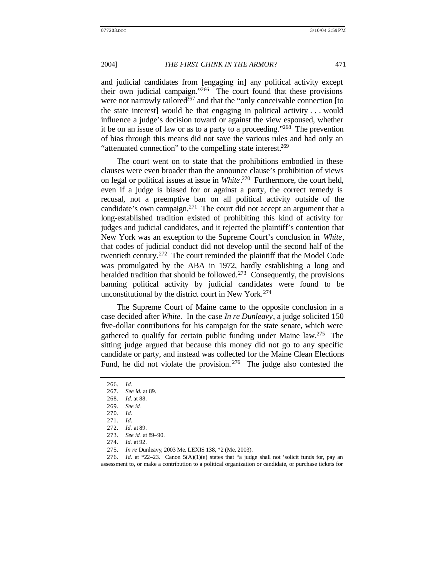and judicial candidates from [engaging in] any political activity except their own judicial campaign."<sup>266</sup> The court found that these provisions were not narrowly tailored<sup>267</sup> and that the "only conceivable connection [to the state interest] would be that engaging in political activity . . . would influence a judge's decision toward or against the view espoused, whether it be on an issue of law or as to a party to a proceeding."<sup>268</sup> The prevention of bias through this means did not save the various rules and had only an "attenuated connection" to the compelling state interest.<sup>269</sup>

The court went on to state that the prohibitions embodied in these clauses were even broader than the announce clause's prohibition of views on legal or political issues at issue in *White*. <sup>270</sup> Furthermore, the court held, even if a judge is biased for or against a party, the correct remedy is recusal, not a preemptive ban on all political activity outside of the candidate's own campaign.<sup>271</sup> The court did not accept an argument that a long-established tradition existed of prohibiting this kind of activity for judges and judicial candidates, and it rejected the plaintiff's contention that New York was an exception to the Supreme Court's conclusion in *White*, that codes of judicial conduct did not develop until the second half of the twentieth century.<sup>272</sup> The court reminded the plaintiff that the Model Code was promulgated by the ABA in 1972, hardly establishing a long and heralded tradition that should be followed.<sup>273</sup> Consequently, the provisions banning political activity by judicial candidates were found to be unconstitutional by the district court in New York.<sup>274</sup>

The Supreme Court of Maine came to the opposite conclusion in a case decided after *White*. In the case *In re Dunleavy*, a judge solicited 150 five-dollar contributions for his campaign for the state senate, which were gathered to qualify for certain public funding under Maine law.<sup>275</sup> The sitting judge argued that because this money did not go to any specific candidate or party, and instead was collected for the Maine Clean Elections Fund, he did not violate the provision.  $276$  The judge also contested the

<sup>266.</sup> *Id.*

<sup>267.</sup> *See id.* at 89.

<sup>268.</sup> *Id.* at 88.

<sup>269.</sup> *See id.*

<sup>270.</sup> *Id.*

<sup>271.</sup> *Id.*

<sup>272.</sup> *Id.* at 89.

<sup>273.</sup> *See id.* at 89–90.

<sup>274.</sup> *Id.* at 92.

<sup>275.</sup> *In re* Dunleavy, 2003 Me. LEXIS 138, \*2 (Me. 2003).

<sup>276.</sup> *Id.* at \*22–23. Canon  $5(A)(1)(e)$  states that "a judge shall not 'solicit funds for, pay an assessment to, or make a contribution to a political organization or candidate, or purchase tickets for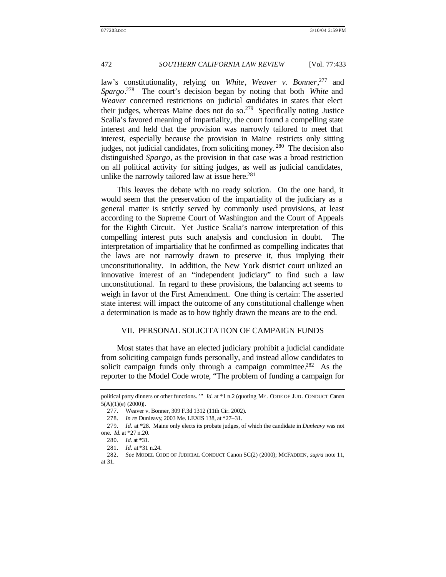law's constitutionality, relying on *White*, *Weaver v. Bonner*, <sup>277</sup> and *Spargo*. <sup>278</sup> The court's decision began by noting that both *White* and *Weaver* concerned restrictions on judicial candidates in states that elect their judges, whereas Maine does not do so. $279$  Specifically noting Justice Scalia's favored meaning of impartiality, the court found a compelling state interest and held that the provision was narrowly tailored to meet that interest, especially because the provision in Maine restricts only sitting judges, not judicial candidates, from soliciting money. <sup>280</sup> The decision also distinguished *Spargo*, as the provision in that case was a broad restriction on all political activity for sitting judges, as well as judicial candidates, unlike the narrowly tailored law at issue here.<sup>281</sup>

This leaves the debate with no ready solution. On the one hand, it would seem that the preservation of the impartiality of the judiciary as a general matter is strictly served by commonly used provisions, at least according to the Supreme Court of Washington and the Court of Appeals for the Eighth Circuit. Yet Justice Scalia's narrow interpretation of this compelling interest puts such analysis and conclusion in doubt. The interpretation of impartiality that he confirmed as compelling indicates that the laws are not narrowly drawn to preserve it, thus implying their unconstitutionality. In addition, the New York district court utilized an innovative interest of an "independent judiciary" to find such a law unconstitutional. In regard to these provisions, the balancing act seems to weigh in favor of the First Amendment. One thing is certain: The asserted state interest will impact the outcome of any constitutional challenge when a determination is made as to how tightly drawn the means are to the end.

#### VII. PERSONAL SOLICITATION OF CAMPAIGN FUNDS

Most states that have an elected judiciary prohibit a judicial candidate from soliciting campaign funds personally, and instead allow candidates to solicit campaign funds only through a campaign committee.<sup>282</sup> As the reporter to the Model Code wrote, "The problem of funding a campaign for

political party dinners or other functions. "" *Id.* at \*1 n.2 (quoting ME. CODE OF JUD. CONDUCT Canon  $5(A)(1)(e)$  (2000)).

<sup>277.</sup> Weaver v. Bonner, 309 F.3d 1312 (11th Cir. 2002).

<sup>278.</sup> *In re* Dunleavy, 2003 Me. LEXIS 138, at \*27–31.

<sup>279.</sup> *Id.* at \*28. Maine only elects its probate judges, of which the candidate in *Dunleavy* was not one. *Id.* at \*27 n.20.

<sup>280.</sup> *Id.* at \*31.

<sup>281.</sup> *Id.* at \*31 n.24.

<sup>282.</sup> *See* MODEL CODE OF JUDICIAL CONDUCT Canon 5C(2) (2000); MCFADDEN, *supra* note 11, at 31.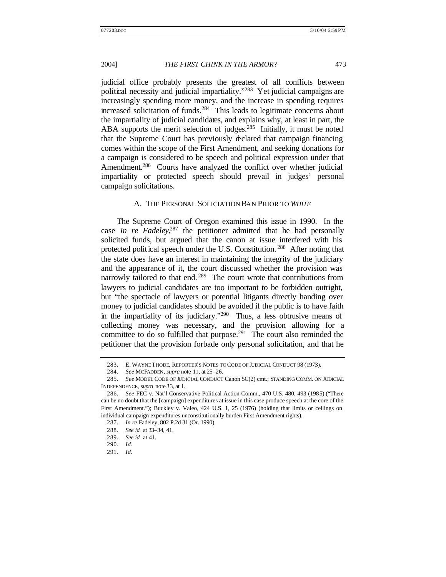judicial office probably presents the greatest of all conflicts between political necessity and judicial impartiality."<sup>283</sup> Yet judicial campaigns are increasingly spending more money, and the increase in spending requires increased solicitation of funds.<sup>284</sup> This leads to legitimate concerns about the impartiality of judicial candidates, and explains why, at least in part, the ABA supports the merit selection of judges.<sup>285</sup> Initially, it must be noted that the Supreme Court has previously declared that campaign financing comes within the scope of the First Amendment, and seeking donations for a campaign is considered to be speech and political expression under that Amendment.<sup>286</sup> Courts have analyzed the conflict over whether judicial impartiality or protected speech should prevail in judges' personal campaign solicitations.

#### A. THE PERSONAL SOLICIATION BAN PRIOR TO *WHITE*

The Supreme Court of Oregon examined this issue in 1990. In the case *In re Fadeley*<sup>287</sup>, the petitioner admitted that he had personally solicited funds, but argued that the canon at issue interfered with his protected political speech under the U.S. Constitution.<sup>288</sup> After noting that the state does have an interest in maintaining the integrity of the judiciary and the appearance of it, the court discussed whether the provision was narrowly tailored to that end.<sup>289</sup> The court wrote that contributions from lawyers to judicial candidates are too important to be forbidden outright, but "the spectacle of lawyers or potential litigants directly handing over money to judicial candidates should be avoided if the public is to have faith in the impartiality of its judiciary."<sup>290</sup> Thus, a less obtrusive means of collecting money was necessary, and the provision allowing for a committee to do so fulfilled that purpose.<sup>291</sup> The court also reminded the petitioner that the provision forbade only personal solicitation, and that he

<sup>283.</sup> E. WAYNE THODE, REPORTER'S NOTES TO CODE OF JUDICIAL CONDUCT 98 (1973).

<sup>284.</sup> *See* MCFADDEN, *supra* note 11, at 25–26.

<sup>285.</sup> *See* MODEL CODE OF JUDICIAL CONDUCT Canon 5C(2) cmt.; STANDING COMM. ON JUDICIAL INDEPENDENCE, *supra* note 33, at 1.

<sup>286.</sup> *See* FEC v. Nat'l Conservative Political Action Comm., 470 U.S. 480, 493 (1985) ("There can be no doubt that the [campaign] expenditures at issue in this case produce speech at the core of the First Amendment."); Buckley v. Valeo, 424 U.S. 1, 25 (1976) (holding that limits or ceilings on individual campaign expenditures unconstitutionally burden First Amendment rights).

<sup>287.</sup> *In re* Fadeley, 802 P.2d 31 (Or. 1990).

<sup>288.</sup> *See id.* at 33–34, 41.

<sup>289.</sup> *See id.* at 41.

<sup>290.</sup> *Id.*

<sup>291.</sup> *Id.*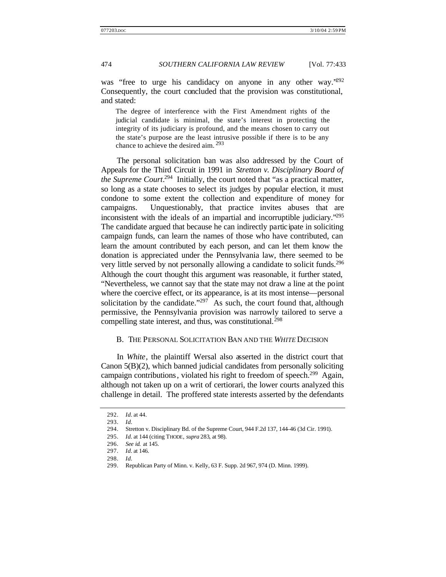was "free to urge his candidacy on anyone in any other way."<sup>292</sup> Consequently, the court concluded that the provision was constitutional, and stated:

The degree of interference with the First Amendment rights of the judicial candidate is minimal, the state's interest in protecting the integrity of its judiciary is profound, and the means chosen to carry out the state's purpose are the least intrusive possible if there is to be any chance to achieve the desired aim. <sup>293</sup>

The personal solicitation ban was also addressed by the Court of Appeals for the Third Circuit in 1991 in *Stretton v. Disciplinary Board of the Supreme Court*. 294 Initially, the court noted that "as a practical matter, so long as a state chooses to select its judges by popular election, it must condone to some extent the collection and expenditure of money for campaigns. Unquestionably, that practice invites abuses that are inconsistent with the ideals of an impartial and incorruptible judiciary."<sup>295</sup> The candidate argued that because he can indirectly participate in soliciting campaign funds, can learn the names of those who have contributed, can learn the amount contributed by each person, and can let them know the donation is appreciated under the Pennsylvania law, there seemed to be very little served by not personally allowing a candidate to solicit funds.<sup>296</sup> Although the court thought this argument was reasonable, it further stated, "Nevertheless, we cannot say that the state may not draw a line at the point where the coercive effect, or its appearance, is at its most intense—personal solicitation by the candidate."<sup>297</sup> As such, the court found that, although permissive, the Pennsylvania provision was narrowly tailored to serve a compelling state interest, and thus, was constitutional.<sup>298</sup>

#### B. THE PERSONAL SOLICITATION BAN AND THE *WHITE* DECISION

In *White*, the plaintiff Wersal also asserted in the district court that Canon 5(B)(2), which banned judicial candidates from personally soliciting campaign contributions, violated his right to freedom of speech.<sup>299</sup> Again, although not taken up on a writ of certiorari, the lower courts analyzed this challenge in detail. The proffered state interests asserted by the defendants

<sup>292.</sup> *Id.* at 44.

<sup>293.</sup> *Id.*

<sup>294.</sup> Stretton v. Disciplinary Bd. of the Supreme Court, 944 F.2d 137, 144–46 (3d Cir. 1991).

<sup>295.</sup> *Id.* at 144 (citing THODE, *supra* 283, at 98).

<sup>296.</sup> *See id.* at 145.

<sup>297.</sup> *Id.* at 146.

<sup>298.</sup> *Id.*

<sup>299.</sup> Republican Party of Minn. v. Kelly, 63 F. Supp. 2d 967, 974 (D. Minn. 1999).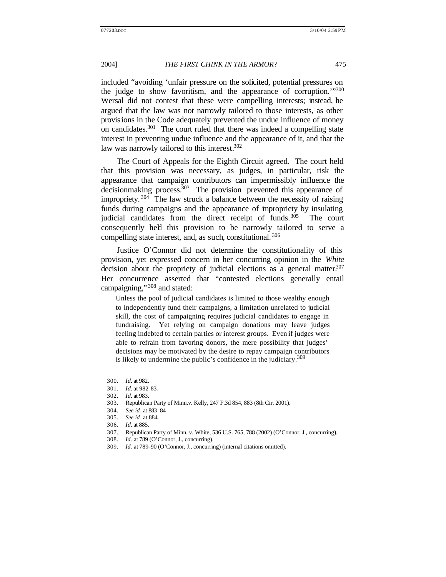included "avoiding 'unfair pressure on the solicited, potential pressures on the judge to show favoritism, and the appearance of corruption.<sup>11300</sup> Wersal did not contest that these were compelling interests; instead, he argued that the law was not narrowly tailored to those interests, as other provisions in the Code adequately prevented the undue influence of money on candidates.<sup>301</sup> The court ruled that there was indeed a compelling state interest in preventing undue influence and the appearance of it, and that the law was narrowly tailored to this interest.<sup>302</sup>

The Court of Appeals for the Eighth Circuit agreed. The court held that this provision was necessary, as judges, in particular, risk the appearance that campaign contributors can impermissibly influence the  $decisionmaking process.<sup>303</sup>$  The provision prevented this appearance of impropriety.  $304$  The law struck a balance between the necessity of raising funds during campaigns and the appearance of impropriety by insulating judicial candidates from the direct receipt of funds.<sup>305</sup> The court consequently held this provision to be narrowly tailored to serve a compelling state interest, and, as such, constitutional. <sup>306</sup>

Justice O'Connor did not determine the constitutionality of this provision, yet expressed concern in her concurring opinion in the *White* decision about the propriety of judicial elections as a general matter.<sup>307</sup> Her concurrence asserted that "contested elections generally entail campaigning," 308 and stated:

Unless the pool of judicial candidates is limited to those wealthy enough to independently fund their campaigns, a limitation unrelated to judicial skill, the cost of campaigning requires judicial candidates to engage in fundraising. Yet relying on campaign donations may leave judges feeling indebted to certain parties or interest groups. Even if judges were able to refrain from favoring donors, the mere possibility that judges' decisions may be motivated by the desire to repay campaign contributors is likely to undermine the public's confidence in the judiciary.  $309$ 

<sup>300.</sup> *Id.* at 982.

<sup>301.</sup> *Id.* at 982–83.

<sup>302.</sup> *Id.* at 983.

<sup>303.</sup> Republican Party of Minn.v. Kelly, 247 F.3d 854, 883 (8th Cir. 2001).

<sup>304.</sup> *See id.* at 883–84

<sup>305.</sup> *See id.* at 884.

<sup>306.</sup> *Id.* at 885.

<sup>307.</sup> Republican Party of Minn. v. White, 536 U.S. 765, 788 (2002) (O'Connor, J., concurring).

<sup>308.</sup> *Id.* at 789 (O'Connor, J., concurring).

<sup>309.</sup> *Id.* at 789–90 (O'Connor, J., concurring) (internal citations omitted).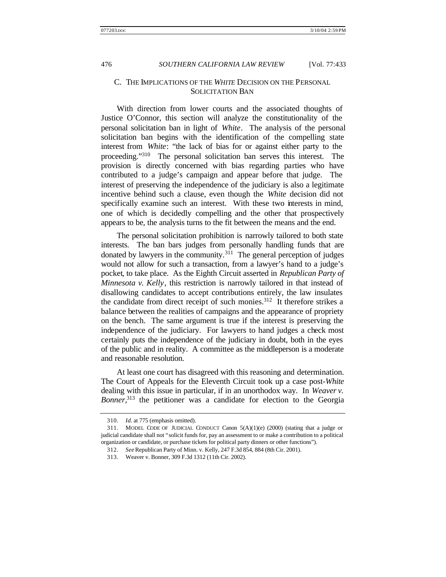#### C. THE IMPLICATIONS OF THE *WHITE* DECISION ON THE PERSONAL SOLICITATION BAN

With direction from lower courts and the associated thoughts of Justice O'Connor, this section will analyze the constitutionality of the personal solicitation ban in light of *White*. The analysis of the personal solicitation ban begins with the identification of the compelling state interest from *White*: "the lack of bias for or against either party to the proceeding."<sup>310</sup> The personal solicitation ban serves this interest. The provision is directly concerned with bias regarding parties who have contributed to a judge's campaign and appear before that judge. The interest of preserving the independence of the judiciary is also a legitimate incentive behind such a clause, even though the *White* decision did not specifically examine such an interest. With these two interests in mind, one of which is decidedly compelling and the other that prospectively appears to be, the analysis turns to the fit between the means and the end.

The personal solicitation prohibition is narrowly tailored to both state interests. The ban bars judges from personally handling funds that are donated by lawyers in the community.<sup>311</sup> The general perception of judges would not allow for such a transaction, from a lawyer's hand to a judge's pocket, to take place. As the Eighth Circuit asserted in *Republican Party of Minnesota v. Kelly*, this restriction is narrowly tailored in that instead of disallowing candidates to accept contributions entirely, the law insulates the candidate from direct receipt of such monies.<sup>312</sup> It therefore strikes a balance between the realities of campaigns and the appearance of propriety on the bench. The same argument is true if the interest is preserving the independence of the judiciary. For lawyers to hand judges a check most certainly puts the independence of the judiciary in doubt, both in the eyes of the public and in reality. A committee as the middleperson is a moderate and reasonable resolution.

At least one court has disagreed with this reasoning and determination. The Court of Appeals for the Eleventh Circuit took up a case post-*White* dealing with this issue in particular, if in an unorthodox way. In *Weaver v. Bonner*, <sup>313</sup> the petitioner was a candidate for election to the Georgia

<sup>310.</sup> *Id.* at 775 (emphasis omitted).

<sup>311.</sup> MODEL CODE OF JUDICIAL CONDUCT Canon 5(A)(1)(e) (2000) (stating that a judge or judicial candidate shall not "solicit funds for, pay an assessment to or make a contribution to a political organization or candidate, or purchase tickets for political party dinners or other functions").

<sup>312.</sup> *See* Republican Party of Minn. v. Kelly, 247 F.3d 854, 884 (8th Cir. 2001).

<sup>313.</sup> Weaver v. Bonner, 309 F.3d 1312 (11th Cir. 2002).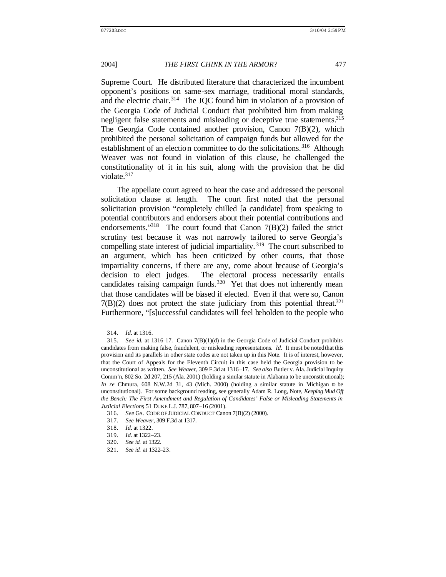Supreme Court. He distributed literature that characterized the incumbent opponent's positions on same-sex marriage, traditional moral standards, and the electric chair.<sup>314</sup> The JQC found him in violation of a provision of the Georgia Code of Judicial Conduct that prohibited him from making negligent false statements and misleading or deceptive true statements.<sup>315</sup> The Georgia Code contained another provision, Canon 7(B)(2), which prohibited the personal solicitation of campaign funds but allowed for the establishment of an election committee to do the solicitations.<sup>316</sup> Although Weaver was not found in violation of this clause, he challenged the constitutionality of it in his suit, along with the provision that he did violate.<sup>317</sup>

The appellate court agreed to hear the case and addressed the personal solicitation clause at length. The court first noted that the personal solicitation provision "completely chilled [a candidate] from speaking to potential contributors and endorsers about their potential contributions and endorsements."<sup>318</sup> The court found that Canon 7(B)(2) failed the strict scrutiny test because it was not narrowly ta ilored to serve Georgia's compelling state interest of judicial impartiality.<sup>319</sup> The court subscribed to an argument, which has been criticized by other courts, that those impartiality concerns, if there are any, come about because of Georgia's decision to elect judges. The electoral process necessarily entails candidates raising campaign funds.<sup>320</sup> Yet that does not inherently mean that those candidates will be biased if elected. Even if that were so, Canon  $7(B)(2)$  does not protect the state judiciary from this potential threat.<sup>321</sup> Furthermore, "[s]uccessful candidates will feel beholden to the people who

<sup>314.</sup> *Id.* at 1316.

<sup>315.</sup> *See id.* at 1316–17. Canon 7(B)(1)(d) in the Georgia Code of Judicial Conduct prohibits candidates from making false, fraudulent, or misleading representations. *Id.* It must be noted that this provision and its parallels in other state codes are not taken up in this Note. It is of interest, however, that the Court of Appeals for the Eleventh Circuit in this case held the Georgia provision to be unconstitutional as written. *See Weaver*, 309 F.3d at 1316–17. *See also* Butler v. Ala. Judicial Inquiry Comm'n, 802 So. 2d 207, 215 (Ala. 2001) (holding a similar statute in Alabama to be unconstit utional); *In re* Chmura, 608 N.W.2d 31, 43 (Mich. 2000) (holding a similar statute in Michigan to be unconstitutional). For some background reading, see generally Adam R. Long, Note, *Keeping Mud Off the Bench: The First Amendment and Regulation of Candidates' False or Misleading Statements in Judicial Elections*, 51 DUKE L.J. 787, 807–16 (2001).

<sup>316.</sup> *See* GA. CODE OF JUDICIAL CONDUCT Canon 7(B)(2) (2000).

<sup>317.</sup> *See Weaver*, 309 F.3d at 1317.

<sup>318.</sup> *Id.* at 1322.

<sup>319.</sup> *Id.* at 1322–23.

<sup>320.</sup> *See id.* at 1322.

<sup>321.</sup> *See id.* at 1322–23.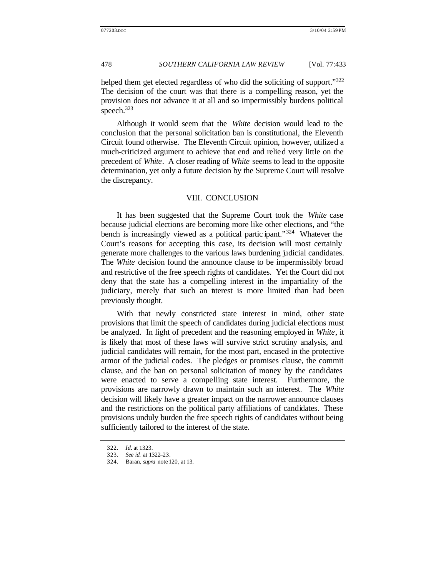helped them get elected regardless of who did the soliciting of support."<sup>322</sup> The decision of the court was that there is a compelling reason, yet the provision does not advance it at all and so impermissibly burdens political speech.<sup>323</sup>

Although it would seem that the *White* decision would lead to the conclusion that the personal solicitation ban is constitutional, the Eleventh Circuit found otherwise. The Eleventh Circuit opinion, however, utilized a much-criticized argument to achieve that end and relied very little on the precedent of *White*. A closer reading of *White* seems to lead to the opposite determination, yet only a future decision by the Supreme Court will resolve the discrepancy.

#### VIII. CONCLUSION

It has been suggested that the Supreme Court took the *White* case because judicial elections are becoming more like other elections, and "the bench is increasingly viewed as a political partic ipant."<sup>324</sup> Whatever the Court's reasons for accepting this case, its decision will most certainly generate more challenges to the various laws burdening judicial candidates. The *White* decision found the announce clause to be impermissibly broad and restrictive of the free speech rights of candidates. Yet the Court did not deny that the state has a compelling interest in the impartiality of the judiciary, merely that such an interest is more limited than had been previously thought.

With that newly constricted state interest in mind, other state provisions that limit the speech of candidates during judicial elections must be analyzed. In light of precedent and the reasoning employed in *White*, it is likely that most of these laws will survive strict scrutiny analysis, and judicial candidates will remain, for the most part, encased in the protective armor of the judicial codes. The pledges or promises clause, the commit clause, and the ban on personal solicitation of money by the candidates were enacted to serve a compelling state interest. Furthermore, the provisions are narrowly drawn to maintain such an interest. The *White*  decision will likely have a greater impact on the narrower announce clauses and the restrictions on the political party affiliations of candidates. These provisions unduly burden the free speech rights of candidates without being sufficiently tailored to the interest of the state.

<sup>322.</sup> *Id.* at 1323.

<sup>323.</sup> *See id.* at 1322–23.

<sup>324.</sup> Baran, *supra* note 120, at 13.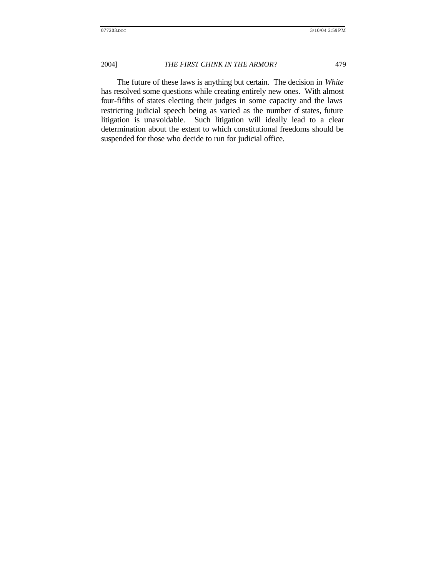The future of these laws is anything but certain. The decision in *White* has resolved some questions while creating entirely new ones. With almost four-fifths of states electing their judges in some capacity and the laws restricting judicial speech being as varied as the number of states, future litigation is unavoidable. Such litigation will ideally lead to a clear determination about the extent to which constitutional freedoms should be suspended for those who decide to run for judicial office.